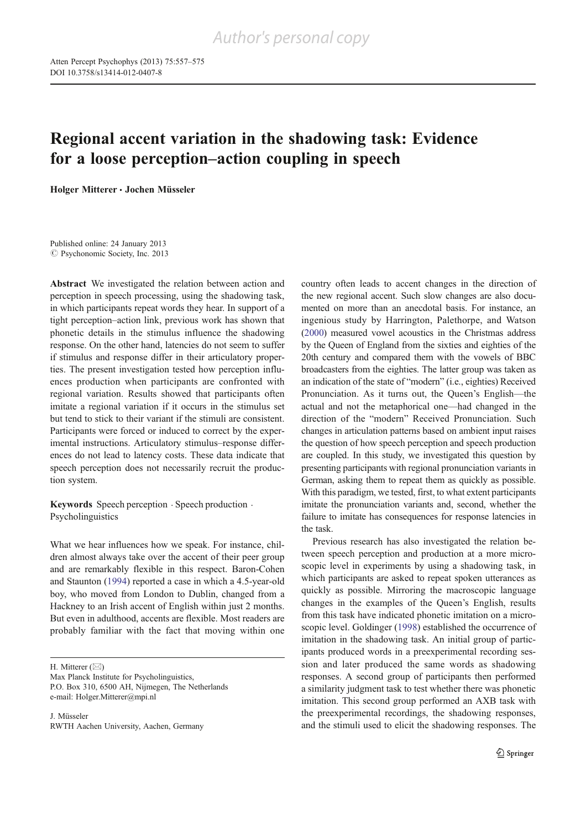# Regional accent variation in the shadowing task: Evidence for a loose perception–action coupling in speech

Holger Mitterer · Jochen Müsseler

Published online: 24 January 2013 © Psychonomic Society, Inc. 2013

Abstract We investigated the relation between action and perception in speech processing, using the shadowing task, in which participants repeat words they hear. In support of a tight perception–action link, previous work has shown that phonetic details in the stimulus influence the shadowing response. On the other hand, latencies do not seem to suffer if stimulus and response differ in their articulatory properties. The present investigation tested how perception influences production when participants are confronted with regional variation. Results showed that participants often imitate a regional variation if it occurs in the stimulus set but tend to stick to their variant if the stimuli are consistent. Participants were forced or induced to correct by the experimental instructions. Articulatory stimulus–response differences do not lead to latency costs. These data indicate that speech perception does not necessarily recruit the production system.

Keywords Speech perception . Speech production . Psycholinguistics

What we hear influences how we speak. For instance, children almost always take over the accent of their peer group and are remarkably flexible in this respect. Baron-Cohen and Staunton (1994) reported a case in which a 4.5-year-old boy, who moved from London to Dublin, changed from a Hackney to an Irish accent of English within just 2 months. But even in adulthood, accents are flexible. Most readers are probably familiar with the fact that moving within one

H. Mitterer  $(\boxtimes)$ 

J. Müsseler RWTH Aachen University, Aachen, Germany country often leads to accent changes in the direction of the new regional accent. Such slow changes are also documented on more than an anecdotal basis. For instance, an ingenious study by Harrington, Palethorpe, and Watson (2000) measured vowel acoustics in the Christmas address by the Queen of England from the sixties and eighties of the 20th century and compared them with the vowels of BBC broadcasters from the eighties. The latter group was taken as an indication of the state of "modern" (i.e., eighties) Received Pronunciation. As it turns out, the Queen's English—the actual and not the metaphorical one—had changed in the direction of the "modern" Received Pronunciation. Such changes in articulation patterns based on ambient input raises the question of how speech perception and speech production are coupled. In this study, we investigated this question by presenting participants with regional pronunciation variants in German, asking them to repeat them as quickly as possible. With this paradigm, we tested, first, to what extent participants imitate the pronunciation variants and, second, whether the failure to imitate has consequences for response latencies in the task.

Previous research has also investigated the relation between speech perception and production at a more microscopic level in experiments by using a shadowing task, in which participants are asked to repeat spoken utterances as quickly as possible. Mirroring the macroscopic language changes in the examples of the Queen's English, results from this task have indicated phonetic imitation on a microscopic level. Goldinger (1998) established the occurrence of imitation in the shadowing task. An initial group of participants produced words in a preexperimental recording session and later produced the same words as shadowing responses. A second group of participants then performed a similarity judgment task to test whether there was phonetic imitation. This second group performed an AXB task with the preexperimental recordings, the shadowing responses, and the stimuli used to elicit the shadowing responses. The

Max Planck Institute for Psycholinguistics, P.O. Box 310, 6500 AH, Nijmegen, The Netherlands e-mail: Holger.Mitterer@mpi.nl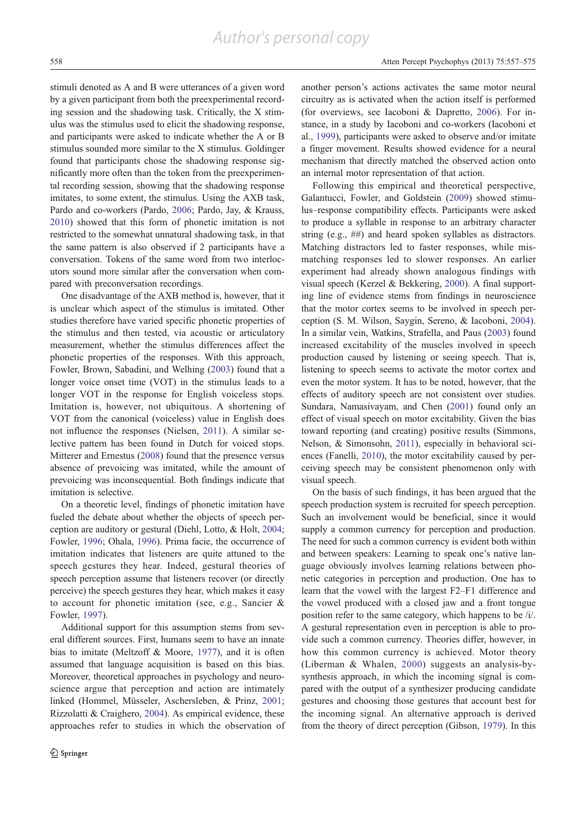stimuli denoted as A and B were utterances of a given word by a given participant from both the preexperimental recording session and the shadowing task. Critically, the X stimulus was the stimulus used to elicit the shadowing response, and participants were asked to indicate whether the A or B stimulus sounded more similar to the X stimulus. Goldinger found that participants chose the shadowing response significantly more often than the token from the preexperimental recording session, showing that the shadowing response imitates, to some extent, the stimulus. Using the AXB task, Pardo and co-workers (Pardo, 2006; Pardo, Jay, & Krauss, 2010) showed that this form of phonetic imitation is not restricted to the somewhat unnatural shadowing task, in that the same pattern is also observed if 2 participants have a conversation. Tokens of the same word from two interlocutors sound more similar after the conversation when compared with preconversation recordings.

One disadvantage of the AXB method is, however, that it is unclear which aspect of the stimulus is imitated. Other studies therefore have varied specific phonetic properties of the stimulus and then tested, via acoustic or articulatory measurement, whether the stimulus differences affect the phonetic properties of the responses. With this approach, Fowler, Brown, Sabadini, and Welhing (2003) found that a longer voice onset time (VOT) in the stimulus leads to a longer VOT in the response for English voiceless stops. Imitation is, however, not ubiquitous. A shortening of VOT from the canonical (voiceless) value in English does not influence the responses (Nielsen, 2011). A similar selective pattern has been found in Dutch for voiced stops. Mitterer and Ernestus (2008) found that the presence versus absence of prevoicing was imitated, while the amount of prevoicing was inconsequential. Both findings indicate that imitation is selective.

On a theoretic level, findings of phonetic imitation have fueled the debate about whether the objects of speech perception are auditory or gestural (Diehl, Lotto, & Holt, 2004; Fowler, 1996; Ohala, 1996). Prima facie, the occurrence of imitation indicates that listeners are quite attuned to the speech gestures they hear. Indeed, gestural theories of speech perception assume that listeners recover (or directly perceive) the speech gestures they hear, which makes it easy to account for phonetic imitation (see, e.g., Sancier & Fowler, 1997).

Additional support for this assumption stems from several different sources. First, humans seem to have an innate bias to imitate (Meltzoff & Moore, 1977), and it is often assumed that language acquisition is based on this bias. Moreover, theoretical approaches in psychology and neuroscience argue that perception and action are intimately linked (Hommel, Müsseler, Aschersleben, & Prinz, 2001; Rizzolatti & Craighero, 2004). As empirical evidence, these approaches refer to studies in which the observation of another person's actions activates the same motor neural circuitry as is activated when the action itself is performed (for overviews, see Iacoboni & Dapretto, 2006). For instance, in a study by Iacoboni and co-workers (Iacoboni et al., 1999), participants were asked to observe and/or imitate a finger movement. Results showed evidence for a neural mechanism that directly matched the observed action onto an internal motor representation of that action.

Following this empirical and theoretical perspective, Galantucci, Fowler, and Goldstein (2009) showed stimulus–response compatibility effects. Participants were asked to produce a syllable in response to an arbitrary character string (e.g., ##) and heard spoken syllables as distractors. Matching distractors led to faster responses, while mismatching responses led to slower responses. An earlier experiment had already shown analogous findings with visual speech (Kerzel & Bekkering, 2000). A final supporting line of evidence stems from findings in neuroscience that the motor cortex seems to be involved in speech perception (S. M. Wilson, Saygin, Sereno, & Iacoboni, 2004). In a similar vein, Watkins, Strafella, and Paus (2003) found increased excitability of the muscles involved in speech production caused by listening or seeing speech. That is, listening to speech seems to activate the motor cortex and even the motor system. It has to be noted, however, that the effects of auditory speech are not consistent over studies. Sundara, Namasivayam, and Chen (2001) found only an effect of visual speech on motor excitability. Given the bias toward reporting (and creating) positive results (Simmons, Nelson, & Simonsohn, 2011), especially in behavioral sciences (Fanelli, 2010), the motor excitability caused by perceiving speech may be consistent phenomenon only with visual speech.

On the basis of such findings, it has been argued that the speech production system is recruited for speech perception. Such an involvement would be beneficial, since it would supply a common currency for perception and production. The need for such a common currency is evident both within and between speakers: Learning to speak one's native language obviously involves learning relations between phonetic categories in perception and production. One has to learn that the vowel with the largest F2–F1 difference and the vowel produced with a closed jaw and a front tongue position refer to the same category, which happens to be /i/. A gestural representation even in perception is able to provide such a common currency. Theories differ, however, in how this common currency is achieved. Motor theory (Liberman & Whalen, 2000) suggests an analysis-bysynthesis approach, in which the incoming signal is compared with the output of a synthesizer producing candidate gestures and choosing those gestures that account best for the incoming signal. An alternative approach is derived from the theory of direct perception (Gibson, 1979). In this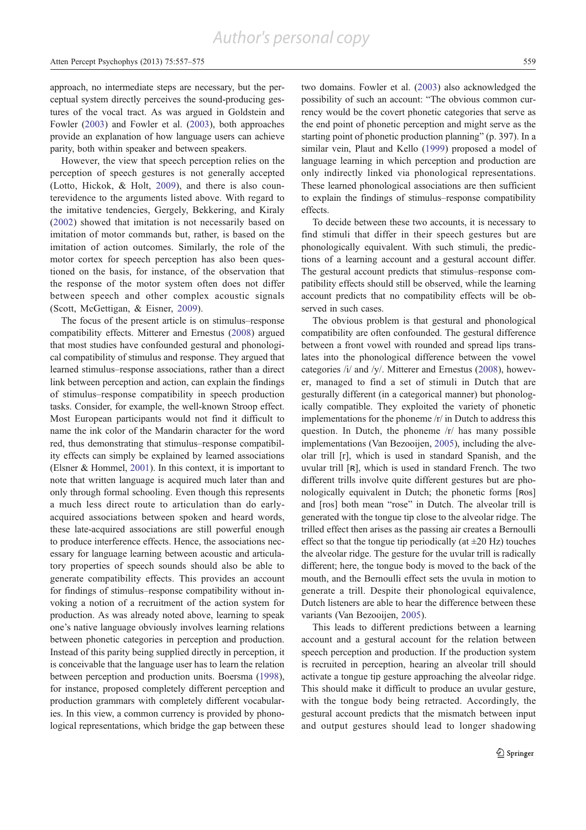approach, no intermediate steps are necessary, but the perceptual system directly perceives the sound-producing gestures of the vocal tract. As was argued in Goldstein and Fowler (2003) and Fowler et al. (2003), both approaches provide an explanation of how language users can achieve parity, both within speaker and between speakers.

However, the view that speech perception relies on the perception of speech gestures is not generally accepted (Lotto, Hickok, & Holt, 2009), and there is also counterevidence to the arguments listed above. With regard to the imitative tendencies, Gergely, Bekkering, and Kiraly (2002) showed that imitation is not necessarily based on imitation of motor commands but, rather, is based on the imitation of action outcomes. Similarly, the role of the motor cortex for speech perception has also been questioned on the basis, for instance, of the observation that the response of the motor system often does not differ between speech and other complex acoustic signals (Scott, McGettigan, & Eisner, 2009).

The focus of the present article is on stimulus–response compatibility effects. Mitterer and Ernestus (2008) argued that most studies have confounded gestural and phonological compatibility of stimulus and response. They argued that learned stimulus–response associations, rather than a direct link between perception and action, can explain the findings of stimulus–response compatibility in speech production tasks. Consider, for example, the well-known Stroop effect. Most European participants would not find it difficult to name the ink color of the Mandarin character for the word red, thus demonstrating that stimulus–response compatibility effects can simply be explained by learned associations (Elsner & Hommel, 2001). In this context, it is important to note that written language is acquired much later than and only through formal schooling. Even though this represents a much less direct route to articulation than do earlyacquired associations between spoken and heard words, these late-acquired associations are still powerful enough to produce interference effects. Hence, the associations necessary for language learning between acoustic and articulatory properties of speech sounds should also be able to generate compatibility effects. This provides an account for findings of stimulus–response compatibility without invoking a notion of a recruitment of the action system for production. As was already noted above, learning to speak one's native language obviously involves learning relations between phonetic categories in perception and production. Instead of this parity being supplied directly in perception, it is conceivable that the language user has to learn the relation between perception and production units. Boersma (1998), for instance, proposed completely different perception and production grammars with completely different vocabularies. In this view, a common currency is provided by phonological representations, which bridge the gap between these

two domains. Fowler et al. (2003) also acknowledged the possibility of such an account: "The obvious common currency would be the covert phonetic categories that serve as the end point of phonetic perception and might serve as the starting point of phonetic production planning" (p. 397). In a similar vein, Plaut and Kello (1999) proposed a model of language learning in which perception and production are only indirectly linked via phonological representations. These learned phonological associations are then sufficient to explain the findings of stimulus–response compatibility effects.

To decide between these two accounts, it is necessary to find stimuli that differ in their speech gestures but are phonologically equivalent. With such stimuli, the predictions of a learning account and a gestural account differ. The gestural account predicts that stimulus–response compatibility effects should still be observed, while the learning account predicts that no compatibility effects will be observed in such cases.

The obvious problem is that gestural and phonological compatibility are often confounded. The gestural difference between a front vowel with rounded and spread lips translates into the phonological difference between the vowel categories /i/ and /y/. Mitterer and Ernestus (2008), however, managed to find a set of stimuli in Dutch that are gesturally different (in a categorical manner) but phonologically compatible. They exploited the variety of phonetic implementations for the phoneme /r/ in Dutch to address this question. In Dutch, the phoneme /r/ has many possible implementations (Van Bezooijen, 2005), including the alveolar trill [r], which is used in standard Spanish, and the uvular trill [ʀ], which is used in standard French. The two different trills involve quite different gestures but are phonologically equivalent in Dutch; the phonetic forms [ʀos] and [ros] both mean "rose" in Dutch. The alveolar trill is generated with the tongue tip close to the alveolar ridge. The trilled effect then arises as the passing air creates a Bernoulli effect so that the tongue tip periodically (at  $\pm 20$  Hz) touches the alveolar ridge. The gesture for the uvular trill is radically different; here, the tongue body is moved to the back of the mouth, and the Bernoulli effect sets the uvula in motion to generate a trill. Despite their phonological equivalence, Dutch listeners are able to hear the difference between these variants (Van Bezooijen, 2005).

This leads to different predictions between a learning account and a gestural account for the relation between speech perception and production. If the production system is recruited in perception, hearing an alveolar trill should activate a tongue tip gesture approaching the alveolar ridge. This should make it difficult to produce an uvular gesture, with the tongue body being retracted. Accordingly, the gestural account predicts that the mismatch between input and output gestures should lead to longer shadowing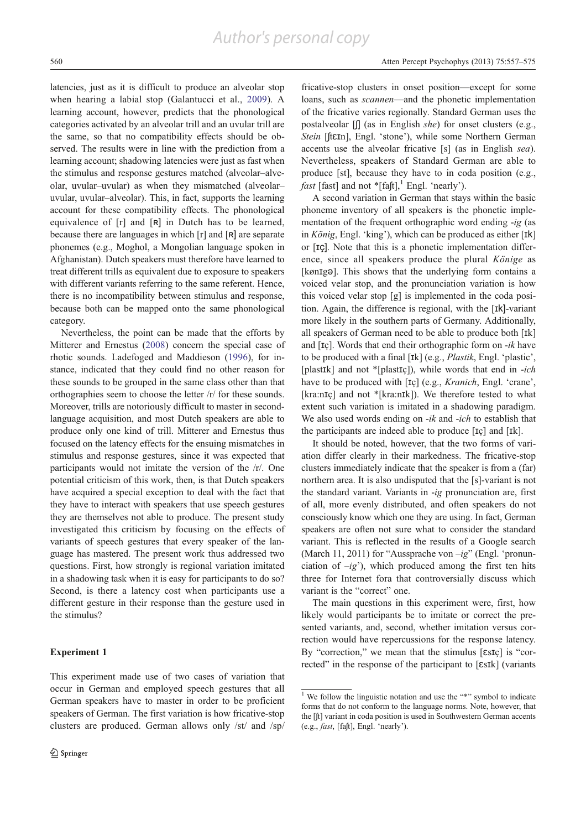latencies, just as it is difficult to produce an alveolar stop when hearing a labial stop (Galantucci et al., 2009). A learning account, however, predicts that the phonological categories activated by an alveolar trill and an uvular trill are the same, so that no compatibility effects should be observed. The results were in line with the prediction from a learning account; shadowing latencies were just as fast when the stimulus and response gestures matched (alveolar–alveolar, uvular–uvular) as when they mismatched (alveolar– uvular, uvular–alveolar). This, in fact, supports the learning account for these compatibility effects. The phonological equivalence of [r] and [ʀ] in Dutch has to be learned, because there are languages in which [r] and [ʀ] are separate phonemes (e.g., Moghol, a Mongolian language spoken in Afghanistan). Dutch speakers must therefore have learned to treat different trills as equivalent due to exposure to speakers with different variants referring to the same referent. Hence, there is no incompatibility between stimulus and response, because both can be mapped onto the same phonological category.

Nevertheless, the point can be made that the efforts by Mitterer and Ernestus (2008) concern the special case of rhotic sounds. Ladefoged and Maddieson (1996), for instance, indicated that they could find no other reason for these sounds to be grouped in the same class other than that orthographies seem to choose the letter /r/ for these sounds. Moreover, trills are notoriously difficult to master in secondlanguage acquisition, and most Dutch speakers are able to produce only one kind of trill. Mitterer and Ernestus thus focused on the latency effects for the ensuing mismatches in stimulus and response gestures, since it was expected that participants would not imitate the version of the /r/. One potential criticism of this work, then, is that Dutch speakers have acquired a special exception to deal with the fact that they have to interact with speakers that use speech gestures they are themselves not able to produce. The present study investigated this criticism by focusing on the effects of variants of speech gestures that every speaker of the language has mastered. The present work thus addressed two questions. First, how strongly is regional variation imitated in a shadowing task when it is easy for participants to do so? Second, is there a latency cost when participants use a different gesture in their response than the gesture used in the stimulus?

# Experiment 1

This experiment made use of two cases of variation that occur in German and employed speech gestures that all German speakers have to master in order to be proficient speakers of German. The first variation is how fricative-stop clusters are produced. German allows only /st/ and /sp/ fricative-stop clusters in onset position—except for some loans, such as *scannen*—and the phonetic implementation of the fricative varies regionally. Standard German uses the postalveolar [ʃ] (as in English she) for onset clusters (e.g., Stein [ʃtɛɪn], Engl. 'stone'), while some Northern German accents use the alveolar fricative [s] (as in English sea). Nevertheless, speakers of Standard German are able to produce [st], because they have to in coda position (e.g., *fast* [fast] and not  $*$ [fa*ft*],<sup>1</sup> Engl. 'nearly').

A second variation in German that stays within the basic phoneme inventory of all speakers is the phonetic implementation of the frequent orthographic word ending -ig (as in König, Engl. 'king'), which can be produced as either [ɪk] or [ɪç]. Note that this is a phonetic implementation difference, since all speakers produce the plural Könige as [kønɪgə]. This shows that the underlying form contains a voiced velar stop, and the pronunciation variation is how this voiced velar stop [g] is implemented in the coda position. Again, the difference is regional, with the [ɪk]-variant more likely in the southern parts of Germany. Additionally, all speakers of German need to be able to produce both [ɪk] and [ɪç]. Words that end their orthographic form on -ik have to be produced with a final [ɪk] (e.g., Plastik, Engl. 'plastic', [plastɪk] and not \*[plastɪç]), while words that end in -ich have to be produced with [Iç] (e.g., Kranich, Engl. 'crane', [kra:nɪc] and not \*[kra:nɪk]). We therefore tested to what extent such variation is imitated in a shadowing paradigm. We also used words ending on  $-ik$  and  $-ich$  to establish that the participants are indeed able to produce [ɪç] and [ɪk].

It should be noted, however, that the two forms of variation differ clearly in their markedness. The fricative-stop clusters immediately indicate that the speaker is from a (far) northern area. It is also undisputed that the [s]-variant is not the standard variant. Variants in -ig pronunciation are, first of all, more evenly distributed, and often speakers do not consciously know which one they are using. In fact, German speakers are often not sure what to consider the standard variant. This is reflected in the results of a Google search (March 11, 2011) for "Aussprache von -ig" (Engl. 'pronunciation of  $-ig'$ ), which produced among the first ten hits three for Internet fora that controversially discuss which variant is the "correct" one.

The main questions in this experiment were, first, how likely would participants be to imitate or correct the presented variants, and, second, whether imitation versus correction would have repercussions for the response latency. By "correction," we mean that the stimulus [EsIç] is "corrected" in the response of the participant to  $[\text{Estk}]$  (variants

<sup>&</sup>lt;sup>1</sup> We follow the linguistic notation and use the "\*" symbol to indicate forms that do not conform to the language norms. Note, however, that the [ʃt] variant in coda position is used in Southwestern German accents (e.g., fast, [faʃt], Engl. 'nearly').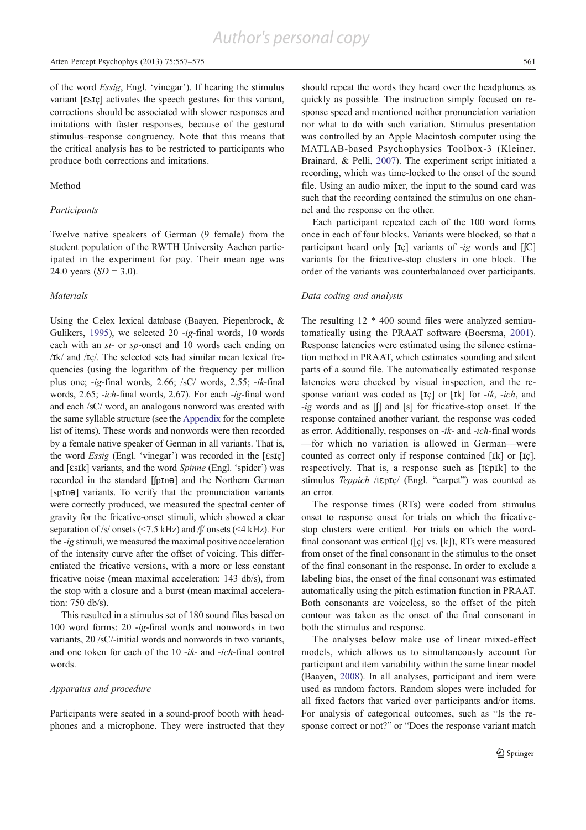# Atten Percept Psychophys (2013) 75:557–575 561

of the word Essig, Engl. 'vinegar'). If hearing the stimulus variant [ɛsɪç] activates the speech gestures for this variant, corrections should be associated with slower responses and imitations with faster responses, because of the gestural stimulus–response congruency. Note that this means that the critical analysis has to be restricted to participants who produce both corrections and imitations.

# Method

# Participants

Twelve native speakers of German (9 female) from the student population of the RWTH University Aachen participated in the experiment for pay. Their mean age was 24.0 years  $(SD = 3.0)$ .

# **Materials**

Using the Celex lexical database (Baayen, Piepenbrock, & Gulikers, 1995), we selected 20 -ig-final words, 10 words each with an st- or sp-onset and 10 words each ending on /ɪk/ and /ɪç/. The selected sets had similar mean lexical frequencies (using the logarithm of the frequency per million plus one; -ig-final words, 2.66; /sC/ words, 2.55; -ik-final words, 2.65; -ich-final words, 2.67). For each -ig-final word and each /sC/ word, an analogous nonword was created with the same syllable structure (see the Appendix for the complete list of items). These words and nonwords were then recorded by a female native speaker of German in all variants. That is, the word *Essig* (Engl. 'vinegar') was recorded in the  $[\text{est}]$ and [EsIk] variants, and the word Spinne (Engl. 'spider') was recorded in the standard [ʃpɪnə] and the Northern German [spInə] variants. To verify that the pronunciation variants were correctly produced, we measured the spectral center of gravity for the fricative-onset stimuli, which showed a clear separation of /s/ onsets (<7.5 kHz) and /f/ onsets (<4 kHz). For the -ig stimuli, we measured the maximal positive acceleration of the intensity curve after the offset of voicing. This differentiated the fricative versions, with a more or less constant fricative noise (mean maximal acceleration: 143 db/s), from the stop with a closure and a burst (mean maximal acceleration: 750 db/s).

This resulted in a stimulus set of 180 sound files based on 100 word forms: 20 -ig-final words and nonwords in two variants, 20 /sC/-initial words and nonwords in two variants, and one token for each of the 10 -ik- and -ich-final control words.

#### Apparatus and procedure

Participants were seated in a sound-proof booth with headphones and a microphone. They were instructed that they

should repeat the words they heard over the headphones as quickly as possible. The instruction simply focused on response speed and mentioned neither pronunciation variation nor what to do with such variation. Stimulus presentation was controlled by an Apple Macintosh computer using the MATLAB-based Psychophysics Toolbox-3 (Kleiner, Brainard, & Pelli, 2007). The experiment script initiated a recording, which was time-locked to the onset of the sound file. Using an audio mixer, the input to the sound card was such that the recording contained the stimulus on one channel and the response on the other.

Each participant repeated each of the 100 word forms once in each of four blocks. Variants were blocked, so that a participant heard only [Iç] variants of -ig words and [[C] variants for the fricative-stop clusters in one block. The order of the variants was counterbalanced over participants.

# Data coding and analysis

The resulting 12 \* 400 sound files were analyzed semiautomatically using the PRAAT software (Boersma, 2001). Response latencies were estimated using the silence estimation method in PRAAT, which estimates sounding and silent parts of a sound file. The automatically estimated response latencies were checked by visual inspection, and the response variant was coded as  $[Ic]$  or  $[Ik]$  for  $-ik$ ,  $-ich$ , and -ig words and as [ʃ] and [s] for fricative-stop onset. If the response contained another variant, the response was coded as error. Additionally, responses on -ik- and -ich-final words —for which no variation is allowed in German—were counted as correct only if response contained [ɪk] or [ɪç], respectively. That is, a response such as [tɛpɪk] to the stimulus Teppich /tɛpɪç/ (Engl. "carpet") was counted as an error.

The response times (RTs) were coded from stimulus onset to response onset for trials on which the fricativestop clusters were critical. For trials on which the wordfinal consonant was critical ([ç] vs. [k]), RTs were measured from onset of the final consonant in the stimulus to the onset of the final consonant in the response. In order to exclude a labeling bias, the onset of the final consonant was estimated automatically using the pitch estimation function in PRAAT. Both consonants are voiceless, so the offset of the pitch contour was taken as the onset of the final consonant in both the stimulus and response.

The analyses below make use of linear mixed-effect models, which allows us to simultaneously account for participant and item variability within the same linear model (Baayen, 2008). In all analyses, participant and item were used as random factors. Random slopes were included for all fixed factors that varied over participants and/or items. For analysis of categorical outcomes, such as "Is the response correct or not?" or "Does the response variant match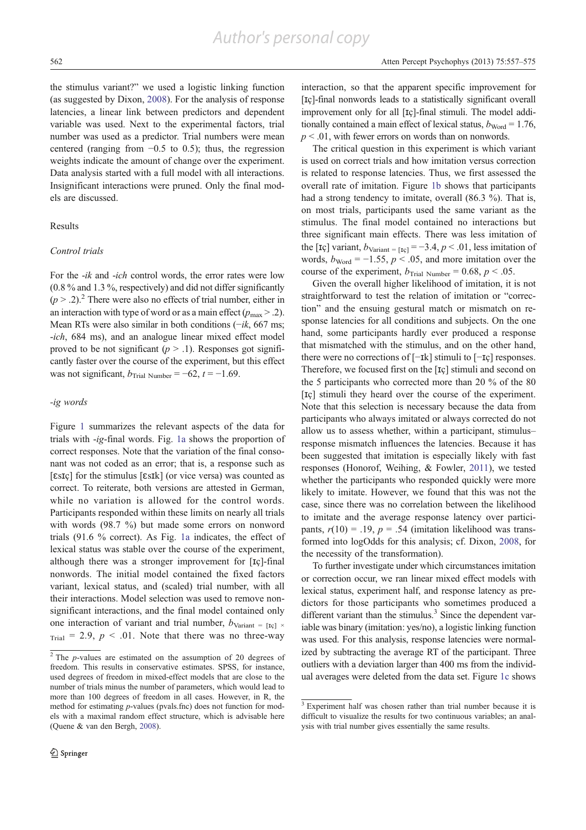the stimulus variant?" we used a logistic linking function (as suggested by Dixon, 2008). For the analysis of response latencies, a linear link between predictors and dependent variable was used. Next to the experimental factors, trial number was used as a predictor. Trial numbers were mean centered (ranging from  $-0.5$  to 0.5); thus, the regression weights indicate the amount of change over the experiment. Data analysis started with a full model with all interactions. Insignificant interactions were pruned. Only the final models are discussed.

# Results

#### Control trials

For the *-ik* and *-ich* control words, the error rates were low (0.8 % and 1.3 %, respectively) and did not differ significantly  $(p > .2)$ .<sup>2</sup> There were also no effects of trial number, either in an interaction with type of word or as a main effect ( $p_{\text{max}} > .2$ ). Mean RTs were also similar in both conditions (−ik, 667 ms; -ich, 684 ms), and an analogue linear mixed effect model proved to be not significant  $(p > 0.1)$ . Responses got significantly faster over the course of the experiment, but this effect was not significant,  $b_{\text{Trial Number}} = -62$ ,  $t = -1.69$ .

#### -ig words

Figure 1 summarizes the relevant aspects of the data for trials with -ig-final words. Fig. 1a shows the proportion of correct responses. Note that the variation of the final consonant was not coded as an error; that is, a response such as  $\lceil \text{ESIC} \rceil$  for the stimulus  $\lceil \text{ESIk} \rceil$  (or vice versa) was counted as correct. To reiterate, both versions are attested in German, while no variation is allowed for the control words. Participants responded within these limits on nearly all trials with words (98.7 %) but made some errors on nonword trials (91.6 % correct). As Fig. 1a indicates, the effect of lexical status was stable over the course of the experiment, although there was a stronger improvement for [ɪç]-final nonwords. The initial model contained the fixed factors variant, lexical status, and (scaled) trial number, with all their interactions. Model selection was used to remove nonsignificant interactions, and the final model contained only one interaction of variant and trial number,  $b_{\text{Variant}} = \text{Tr} \times$  $T_{\text{trial}} = 2.9, p < .01$ . Note that there was no three-way

The critical question in this experiment is which variant is used on correct trials and how imitation versus correction is related to response latencies. Thus, we first assessed the overall rate of imitation. Figure 1b shows that participants had a strong tendency to imitate, overall (86.3 %). That is, on most trials, participants used the same variant as the stimulus. The final model contained no interactions but three significant main effects. There was less imitation of the [Iç] variant,  $b_{\text{Variant} = [Iç]} = -3.4, p < .01$ , less imitation of words,  $b_{\text{Word}} = -1.55$ ,  $p < .05$ , and more imitation over the course of the experiment,  $b_{\text{Trial Number}} = 0.68$ ,  $p < .05$ .

Given the overall higher likelihood of imitation, it is not straightforward to test the relation of imitation or "correction" and the ensuing gestural match or mismatch on response latencies for all conditions and subjects. On the one hand, some participants hardly ever produced a response that mismatched with the stimulus, and on the other hand, there were no corrections of [−ɪk] stimuli to [−ɪç] responses. Therefore, we focused first on the [ɪç] stimuli and second on the 5 participants who corrected more than 20 % of the 80 [ɪç] stimuli they heard over the course of the experiment. Note that this selection is necessary because the data from participants who always imitated or always corrected do not allow us to assess whether, within a participant, stimulus– response mismatch influences the latencies. Because it has been suggested that imitation is especially likely with fast responses (Honorof, Weihing, & Fowler, 2011), we tested whether the participants who responded quickly were more likely to imitate. However, we found that this was not the case, since there was no correlation between the likelihood to imitate and the average response latency over participants,  $r(10) = .19$ ,  $p = .54$  (imitation likelihood was transformed into logOdds for this analysis; cf. Dixon, 2008, for the necessity of the transformation).

To further investigate under which circumstances imitation or correction occur, we ran linear mixed effect models with lexical status, experiment half, and response latency as predictors for those participants who sometimes produced a different variant than the stimulus. $3$  Since the dependent variable was binary (imitation: yes/no), a logistic linking function was used. For this analysis, response latencies were normalized by subtracting the average RT of the participant. Three outliers with a deviation larger than 400 ms from the individual averages were deleted from the data set. Figure 1c shows

 $2$  The *p*-values are estimated on the assumption of 20 degrees of freedom. This results in conservative estimates. SPSS, for instance, used degrees of freedom in mixed-effect models that are close to the number of trials minus the number of parameters, which would lead to more than 100 degrees of freedom in all cases. However, in R, the method for estimating *p*-values (pvals.fnc) does not function for models with a maximal random effect structure, which is advisable here (Quene & van den Bergh, 2008).

<sup>&</sup>lt;sup>3</sup> Experiment half was chosen rather than trial number because it is difficult to visualize the results for two continuous variables; an analysis with trial number gives essentially the same results.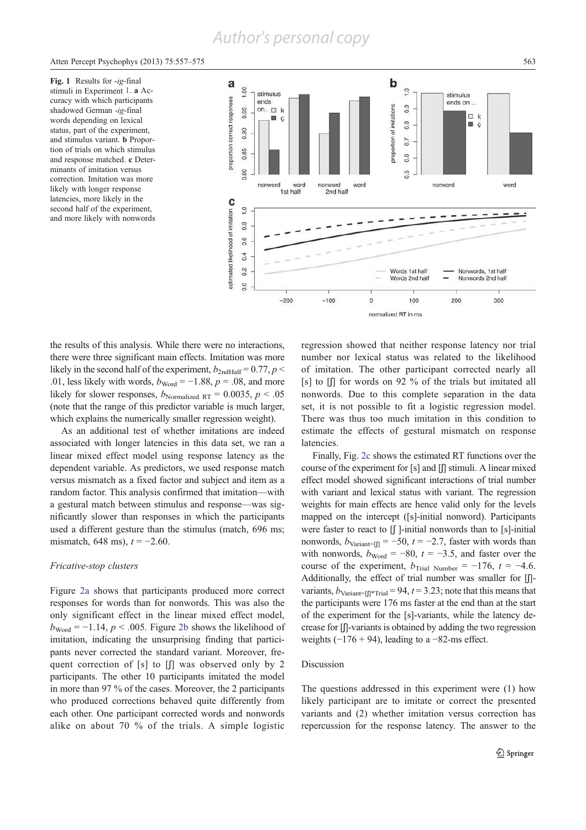# *Author's personal copy*

Fig. 1 Results for -ig-final stimuli in Experiment 1. a Accuracy with which participants shadowed German -ig-final words depending on lexical status, part of the experiment, and stimulus variant. b Proportion of trials on which stimulus and response matched. c Determinants of imitation versus correction. Imitation was more likely with longer response latencies, more likely in the second half of the experiment, and more likely with nonwords



the results of this analysis. While there were no interactions, there were three significant main effects. Imitation was more likely in the second half of the experiment,  $b_{2ndHalf} = 0.77$ ,  $p <$ .01, less likely with words,  $b_{\text{Word}} = -1.88$ ,  $p = .08$ , and more likely for slower responses,  $b_{\text{Normalized RT}} = 0.0035$ ,  $p < 0.05$ (note that the range of this predictor variable is much larger, which explains the numerically smaller regression weight).

As an additional test of whether imitations are indeed associated with longer latencies in this data set, we ran a linear mixed effect model using response latency as the dependent variable. As predictors, we used response match versus mismatch as a fixed factor and subject and item as a random factor. This analysis confirmed that imitation—with a gestural match between stimulus and response—was significantly slower than responses in which the participants used a different gesture than the stimulus (match, 696 ms; mismatch, 648 ms),  $t = -2.60$ .

#### Fricative-stop clusters

Figure 2a shows that participants produced more correct responses for words than for nonwords. This was also the only significant effect in the linear mixed effect model,  $b_{\text{Word}} = -1.14$ ,  $p < .005$ . Figure 2b shows the likelihood of imitation, indicating the unsurprising finding that participants never corrected the standard variant. Moreover, frequent correction of [s] to [ʃ] was observed only by 2 participants. The other 10 participants imitated the model in more than 97 % of the cases. Moreover, the 2 participants who produced corrections behaved quite differently from each other. One participant corrected words and nonwords alike on about 70 % of the trials. A simple logistic regression showed that neither response latency nor trial number nor lexical status was related to the likelihood of imitation. The other participant corrected nearly all [s] to  $\left[\right]$  for words on 92 % of the trials but imitated all nonwords. Due to this complete separation in the data set, it is not possible to fit a logistic regression model. There was thus too much imitation in this condition to estimate the effects of gestural mismatch on response latencies.

Finally, Fig. 2c shows the estimated RT functions over the course of the experiment for [s] and [ʃ] stimuli. A linear mixed effect model showed significant interactions of trial number with variant and lexical status with variant. The regression weights for main effects are hence valid only for the levels mapped on the intercept ([s]-initial nonword). Participants were faster to react to  $\int$  ]-initial nonwords than to  $\lceil s \rceil$ -initial nonwords,  $b_{\text{Variant}=[j]} = -50$ ,  $t = -2.7$ , faster with words than with nonwords,  $b_{\text{Word}} = -80$ ,  $t = -3.5$ , and faster over the course of the experiment,  $b_{\text{Trial Number}} = -176$ ,  $t = -4.6$ . Additionally, the effect of trial number was smaller for [ʃ] variants,  $b_{\text{Variant}=[f]*\text{Trial}} = 94$ ,  $t = 3.23$ ; note that this means that the participants were 176 ms faster at the end than at the start of the experiment for the [s]-variants, while the latency decrease for [ʃ]-variants is obtained by adding the two regression weights  $(-176 + 94)$ , leading to a  $-82$ -ms effect.

# Discussion

The questions addressed in this experiment were (1) how likely participant are to imitate or correct the presented variants and (2) whether imitation versus correction has repercussion for the response latency. The answer to the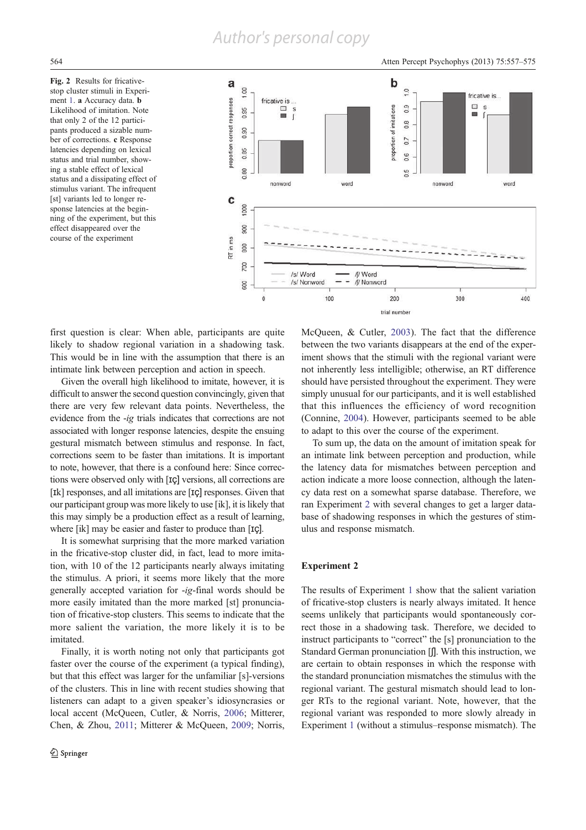# *Author's personal copy*

Fig. 2 Results for fricativestop cluster stimuli in Experiment 1. a Accuracy data. b Likelihood of imitation. Note that only 2 of the 12 participants produced a sizable number of corrections. c Response latencies depending on lexical status and trial number, showing a stable effect of lexical status and a dissipating effect of stimulus variant. The infrequent [st] variants led to longer response latencies at the beginning of the experiment, but this effect disappeared over the course of the experiment



first question is clear: When able, participants are quite likely to shadow regional variation in a shadowing task. This would be in line with the assumption that there is an intimate link between perception and action in speech.

Given the overall high likelihood to imitate, however, it is difficult to answer the second question convincingly, given that there are very few relevant data points. Nevertheless, the evidence from the -ig trials indicates that corrections are not associated with longer response latencies, despite the ensuing gestural mismatch between stimulus and response. In fact, corrections seem to be faster than imitations. It is important to note, however, that there is a confound here: Since corrections were observed only with [ɪç] versions, all corrections are [ɪk] responses, and all imitations are [ɪç] responses. Given that our participant group was more likely to use [ik], it is likely that this may simply be a production effect as a result of learning, where [ik] may be easier and faster to produce than [Iç].

It is somewhat surprising that the more marked variation in the fricative-stop cluster did, in fact, lead to more imitation, with 10 of the 12 participants nearly always imitating the stimulus. A priori, it seems more likely that the more generally accepted variation for -ig-final words should be more easily imitated than the more marked [st] pronunciation of fricative-stop clusters. This seems to indicate that the more salient the variation, the more likely it is to be imitated.

Finally, it is worth noting not only that participants got faster over the course of the experiment (a typical finding), but that this effect was larger for the unfamiliar [s]-versions of the clusters. This in line with recent studies showing that listeners can adapt to a given speaker's idiosyncrasies or local accent (McQueen, Cutler, & Norris, 2006; Mitterer, Chen, & Zhou, 2011; Mitterer & McQueen, 2009; Norris,

McQueen, & Cutler, 2003). The fact that the difference between the two variants disappears at the end of the experiment shows that the stimuli with the regional variant were not inherently less intelligible; otherwise, an RT difference should have persisted throughout the experiment. They were simply unusual for our participants, and it is well established that this influences the efficiency of word recognition (Connine, 2004). However, participants seemed to be able to adapt to this over the course of the experiment.

To sum up, the data on the amount of imitation speak for an intimate link between perception and production, while the latency data for mismatches between perception and action indicate a more loose connection, although the latency data rest on a somewhat sparse database. Therefore, we ran Experiment 2 with several changes to get a larger database of shadowing responses in which the gestures of stimulus and response mismatch.

# Experiment 2

The results of Experiment 1 show that the salient variation of fricative-stop clusters is nearly always imitated. It hence seems unlikely that participants would spontaneously correct those in a shadowing task. Therefore, we decided to instruct participants to "correct" the [s] pronunciation to the Standard German pronunciation [J]. With this instruction, we are certain to obtain responses in which the response with the standard pronunciation mismatches the stimulus with the regional variant. The gestural mismatch should lead to longer RTs to the regional variant. Note, however, that the regional variant was responded to more slowly already in Experiment 1 (without a stimulus–response mismatch). The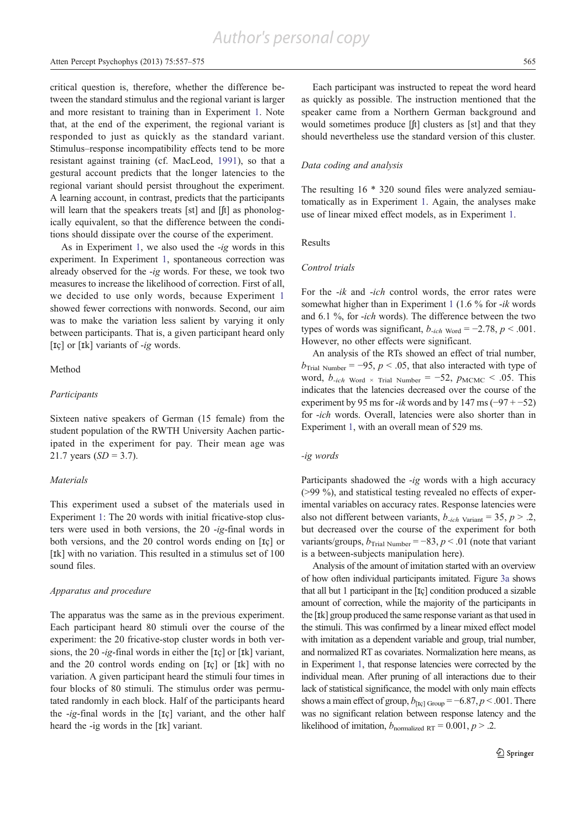critical question is, therefore, whether the difference between the standard stimulus and the regional variant is larger and more resistant to training than in Experiment 1. Note that, at the end of the experiment, the regional variant is responded to just as quickly as the standard variant. Stimulus–response incompatibility effects tend to be more resistant against training (cf. MacLeod, 1991), so that a gestural account predicts that the longer latencies to the regional variant should persist throughout the experiment. A learning account, in contrast, predicts that the participants will learn that the speakers treats [st] and [ft] as phonologically equivalent, so that the difference between the conditions should dissipate over the course of the experiment.

As in Experiment 1, we also used the -ig words in this experiment. In Experiment 1, spontaneous correction was already observed for the -ig words. For these, we took two measures to increase the likelihood of correction. First of all, we decided to use only words, because Experiment 1 showed fewer corrections with nonwords. Second, our aim was to make the variation less salient by varying it only between participants. That is, a given participant heard only [Iç] or [Ik] variants of -ig words.

# Method

#### Participants

Sixteen native speakers of German (15 female) from the student population of the RWTH University Aachen participated in the experiment for pay. Their mean age was 21.7 years  $(SD = 3.7)$ .

#### **Materials**

This experiment used a subset of the materials used in Experiment 1: The 20 words with initial fricative-stop clusters were used in both versions, the 20 -ig-final words in both versions, and the 20 control words ending on [ɪç] or [Ik] with no variation. This resulted in a stimulus set of 100 sound files.

#### Apparatus and procedure

The apparatus was the same as in the previous experiment. Each participant heard 80 stimuli over the course of the experiment: the 20 fricative-stop cluster words in both versions, the 20 -ig-final words in either the  $\lceil \text{Ic} \rceil$  or  $\lceil \text{Ik} \rceil$  variant, and the 20 control words ending on [ɪç] or [ɪk] with no variation. A given participant heard the stimuli four times in four blocks of 80 stimuli. The stimulus order was permutated randomly in each block. Half of the participants heard the -ig-final words in the [ɪç] variant, and the other half heard the -ig words in the [ɪk] variant.

Each participant was instructed to repeat the word heard as quickly as possible. The instruction mentioned that the speaker came from a Northern German background and would sometimes produce [ʃt] clusters as [st] and that they should nevertheless use the standard version of this cluster.

# Data coding and analysis

The resulting 16 \* 320 sound files were analyzed semiautomatically as in Experiment 1. Again, the analyses make use of linear mixed effect models, as in Experiment 1.

Results

#### Control trials

For the  $-ik$  and  $-ich$  control words, the error rates were somewhat higher than in Experiment 1 (1.6  $\%$  for  $-ik$  words and 6.1 %, for -ich words). The difference between the two types of words was significant,  $b_{-ich\text{ Word}} = -2.78$ ,  $p < .001$ . However, no other effects were significant.

An analysis of the RTs showed an effect of trial number,  $b_{\text{Trial Number}} = -95, p < .05$ , that also interacted with type of word,  $b_{-ich}$  Word × Trial Number = -52,  $p_{MCMC}$  < .05. This indicates that the latencies decreased over the course of the experiment by 95 ms for -ik words and by 147 ms  $(-97 + -52)$ for -ich words. Overall, latencies were also shorter than in Experiment 1, with an overall mean of 529 ms.

### -ig words

Participants shadowed the -ig words with a high accuracy (>99 %), and statistical testing revealed no effects of experimental variables on accuracy rates. Response latencies were also not different between variants,  $b_{-ich}$  variant = 35,  $p > 0.2$ , but decreased over the course of the experiment for both variants/groups,  $b_{\text{Trial Number}} = -83, p < .01$  (note that variant is a between-subjects manipulation here).

Analysis of the amount of imitation started with an overview of how often individual participants imitated. Figure 3a shows that all but 1 participant in the [ɪç] condition produced a sizable amount of correction, while the majority of the participants in the [ɪk] group produced the same response variant as that used in the stimuli. This was confirmed by a linear mixed effect model with imitation as a dependent variable and group, trial number, and normalized RT as covariates. Normalization here means, as in Experiment 1, that response latencies were corrected by the individual mean. After pruning of all interactions due to their lack of statistical significance, the model with only main effects shows a main effect of group,  $b_{\text{[IC] Group}} = -6.87$ ,  $p < .001$ . There was no significant relation between response latency and the likelihood of imitation,  $b_{\text{normalized RT}} = 0.001, p > .2$ .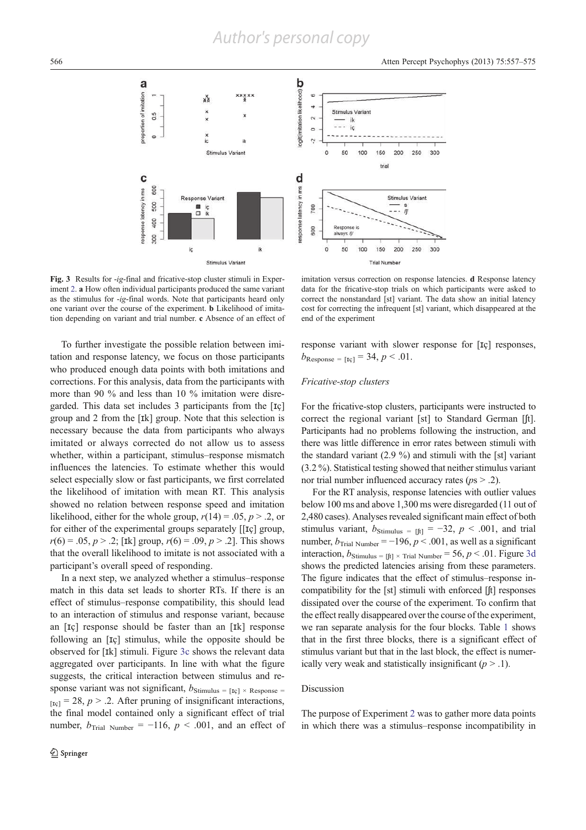

Fig. 3 Results for -ig-final and fricative-stop cluster stimuli in Experiment 2. a How often individual participants produced the same variant as the stimulus for -ig-final words. Note that participants heard only one variant over the course of the experiment. b Likelihood of imitation depending on variant and trial number. c Absence of an effect of

To further investigate the possible relation between imitation and response latency, we focus on those participants who produced enough data points with both imitations and corrections. For this analysis, data from the participants with more than 90 % and less than 10 % imitation were disregarded. This data set includes 3 participants from the [ɪç] group and 2 from the [ɪk] group. Note that this selection is necessary because the data from participants who always imitated or always corrected do not allow us to assess whether, within a participant, stimulus–response mismatch influences the latencies. To estimate whether this would select especially slow or fast participants, we first correlated the likelihood of imitation with mean RT. This analysis showed no relation between response speed and imitation likelihood, either for the whole group,  $r(14) = .05$ ,  $p > .2$ , or for either of the experimental groups separately [[ɪç] group,  $r(6) = .05, p > .2$ ; [Ik] group,  $r(6) = .09, p > .2$ ]. This shows that the overall likelihood to imitate is not associated with a participant's overall speed of responding.

In a next step, we analyzed whether a stimulus–response match in this data set leads to shorter RTs. If there is an effect of stimulus–response compatibility, this should lead to an interaction of stimulus and response variant, because an [ɪç] response should be faster than an [ɪk] response following an [ɪç] stimulus, while the opposite should be observed for [ɪk] stimuli. Figure 3c shows the relevant data aggregated over participants. In line with what the figure suggests, the critical interaction between stimulus and response variant was not significant,  $b_{Stimulus = [Iç] \times Response}$  $[x_{\text{c}}] = 28$ ,  $p > .2$ . After pruning of insignificant interactions, the final model contained only a significant effect of trial number,  $b_{\text{Trial Number}} = -116$ ,  $p < .001$ , and an effect of

Stimulus Varian  $\sim$ ik  $---$  iç  $\sim$  $\sim$ 50 100 150 200 250 300 tria Stimulus Variant 700  $\ddot{v}$ 600 Response always /  $\overline{0}$ 50 100 150 200 250 300 **Trial Number** 

imitation versus correction on response latencies. d Response latency data for the fricative-stop trials on which participants were asked to correct the nonstandard [st] variant. The data show an initial latency cost for correcting the infrequent [st] variant, which disappeared at the end of the experiment

response variant with slower response for [ɪç] responses,  $b_{\text{Response}} = [I_c] = 34, p < .01.$ 

# Fricative-stop clusters

For the fricative-stop clusters, participants were instructed to correct the regional variant [st] to Standard German [ft]. Participants had no problems following the instruction, and there was little difference in error rates between stimuli with the standard variant  $(2.9 \%)$  and stimuli with the [st] variant (3.2 %). Statistical testing showed that neither stimulus variant nor trial number influenced accuracy rates ( $ps > .2$ ).

For the RT analysis, response latencies with outlier values below 100 ms and above 1,300 ms were disregarded (11 out of 2,480 cases). Analyses revealed significant main effect of both stimulus variant,  $b_{Stimulus} = [ft] = -32$ ,  $p < .001$ , and trial number,  $b_{\text{Trial Number}} = -196$ ,  $p < .001$ , as well as a significant interaction,  $b_{Stimulus = [ft] \times Trial Number} = 56, p < .01$ . Figure 3d shows the predicted latencies arising from these parameters. The figure indicates that the effect of stimulus–response incompatibility for the [st] stimuli with enforced [ʃt] responses dissipated over the course of the experiment. To confirm that the effect really disappeared over the course of the experiment, we ran separate analysis for the four blocks. Table 1 shows that in the first three blocks, there is a significant effect of stimulus variant but that in the last block, the effect is numerically very weak and statistically insignificant  $(p > 0.1)$ .

### Discussion

The purpose of Experiment 2 was to gather more data points in which there was a stimulus–response incompatibility in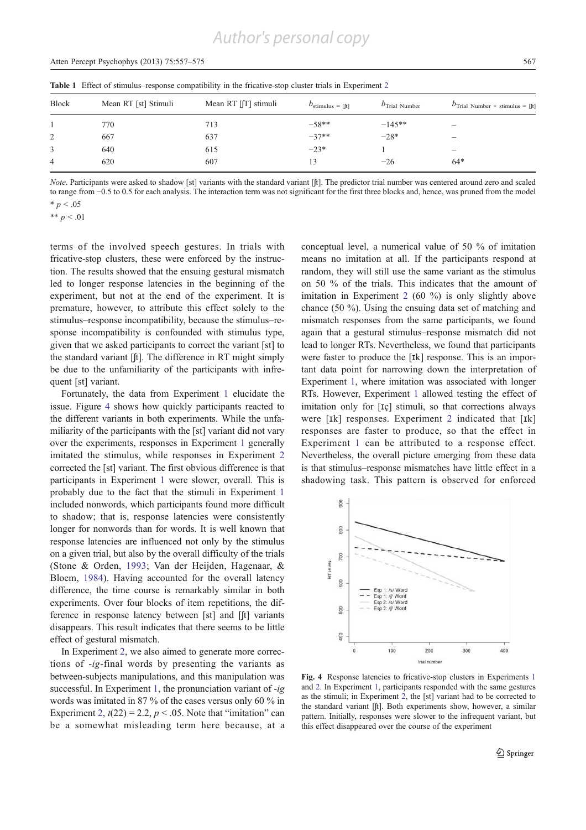# *Author's personal copy*

#### Atten Percept Psychophys (2013) 75:557–575 567

| Table 1 Effect of stimulus–response compatibility in the fricative-stop cluster trials in Experiment 2 |                      |                      |                              |                  |                                    |  |
|--------------------------------------------------------------------------------------------------------|----------------------|----------------------|------------------------------|------------------|------------------------------------|--|
| <b>Block</b>                                                                                           | Mean RT [st] Stimuli | Mean RT [[T] stimuli | $b_{\text{stimulus}} = [ft]$ | $b$ Trial Number | $D$ Trial Number × stimulus = [ft] |  |
|                                                                                                        | 770                  | 713                  | $-58**$                      | $-145**$         |                                    |  |
| 2                                                                                                      | 667                  | 637                  | $-37**$                      | $-28*$           |                                    |  |
|                                                                                                        | 640                  | 615                  | $-23*$                       |                  |                                    |  |
| 4                                                                                                      | 620                  | 607                  | 13                           | $-26$            | $64*$                              |  |

Note. Participants were asked to shadow [st] variants with the standard variant [ft]. The predictor trial number was centered around zero and scaled to range from −0.5 to 0.5 for each analysis. The interaction term was not significant for the first three blocks and, hence, was pruned from the model

 $* p < .05$ 

\*\*  $p < .01$ 

terms of the involved speech gestures. In trials with fricative-stop clusters, these were enforced by the instruction. The results showed that the ensuing gestural mismatch led to longer response latencies in the beginning of the experiment, but not at the end of the experiment. It is premature, however, to attribute this effect solely to the stimulus–response incompatibility, because the stimulus–response incompatibility is confounded with stimulus type, given that we asked participants to correct the variant [st] to the standard variant [ʃt]. The difference in RT might simply be due to the unfamiliarity of the participants with infrequent [st] variant.

Fortunately, the data from Experiment 1 elucidate the issue. Figure 4 shows how quickly participants reacted to the different variants in both experiments. While the unfamiliarity of the participants with the [st] variant did not vary over the experiments, responses in Experiment 1 generally imitated the stimulus, while responses in Experiment 2 corrected the [st] variant. The first obvious difference is that participants in Experiment 1 were slower, overall. This is probably due to the fact that the stimuli in Experiment 1 included nonwords, which participants found more difficult to shadow; that is, response latencies were consistently longer for nonwords than for words. It is well known that response latencies are influenced not only by the stimulus on a given trial, but also by the overall difficulty of the trials (Stone & Orden, 1993; Van der Heijden, Hagenaar, & Bloem, 1984). Having accounted for the overall latency difference, the time course is remarkably similar in both experiments. Over four blocks of item repetitions, the difference in response latency between [st] and [ʃt] variants disappears. This result indicates that there seems to be little effect of gestural mismatch.

In Experiment 2, we also aimed to generate more corrections of -ig-final words by presenting the variants as between-subjects manipulations, and this manipulation was successful. In Experiment 1, the pronunciation variant of -ig words was imitated in 87 % of the cases versus only 60 % in Experiment 2,  $t(22) = 2.2$ ,  $p < .05$ . Note that "imitation" can be a somewhat misleading term here because, at a conceptual level, a numerical value of 50 % of imitation means no imitation at all. If the participants respond at random, they will still use the same variant as the stimulus on 50 % of the trials. This indicates that the amount of imitation in Experiment 2 (60 %) is only slightly above chance (50 %). Using the ensuing data set of matching and mismatch responses from the same participants, we found again that a gestural stimulus–response mismatch did not lead to longer RTs. Nevertheless, we found that participants were faster to produce the [ɪk] response. This is an important data point for narrowing down the interpretation of Experiment 1, where imitation was associated with longer RTs. However, Experiment 1 allowed testing the effect of imitation only for [ɪç] stimuli, so that corrections always were  $[ik]$  responses. Experiment 2 indicated that  $[Ik]$ responses are faster to produce, so that the effect in Experiment 1 can be attributed to a response effect. Nevertheless, the overall picture emerging from these data is that stimulus–response mismatches have little effect in a shadowing task. This pattern is observed for enforced



Fig. 4 Response latencies to fricative-stop clusters in Experiments 1 and 2. In Experiment 1, participants responded with the same gestures as the stimuli; in Experiment 2, the [st] variant had to be corrected to the standard variant [ʃt]. Both experiments show, however, a similar pattern. Initially, responses were slower to the infrequent variant, but this effect disappeared over the course of the experiment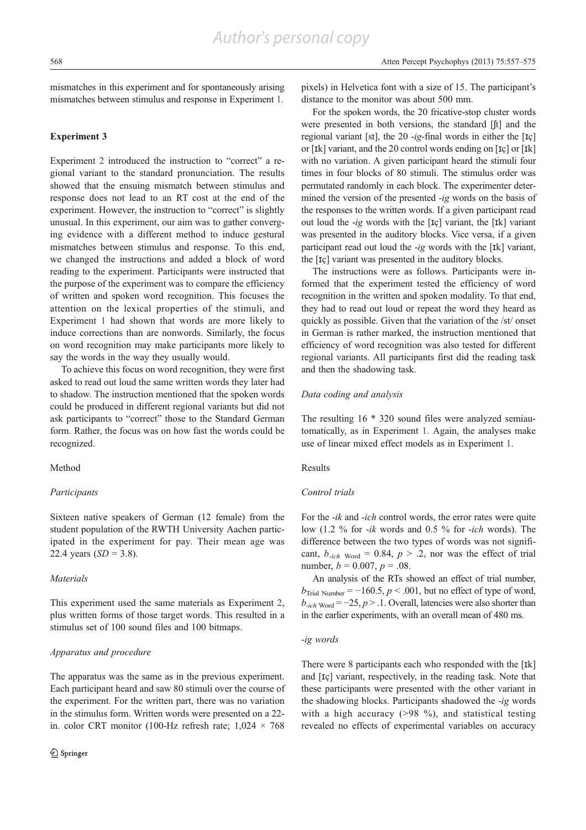mismatches in this experiment and for spontaneously arising mismatches between stimulus and response in Experiment 1.

# Experiment 3

Experiment 2 introduced the instruction to "correct" a regional variant to the standard pronunciation. The results showed that the ensuing mismatch between stimulus and response does not lead to an RT cost at the end of the experiment. However, the instruction to "correct" is slightly unusual. In this experiment, our aim was to gather converging evidence with a different method to induce gestural mismatches between stimulus and response. To this end, we changed the instructions and added a block of word reading to the experiment. Participants were instructed that the purpose of the experiment was to compare the efficiency of written and spoken word recognition. This focuses the attention on the lexical properties of the stimuli, and Experiment 1 had shown that words are more likely to induce corrections than are nonwords. Similarly, the focus on word recognition may make participants more likely to say the words in the way they usually would.

To achieve this focus on word recognition, they were first asked to read out loud the same written words they later had to shadow. The instruction mentioned that the spoken words could be produced in different regional variants but did not ask participants to "correct" those to the Standard German form. Rather, the focus was on how fast the words could be recognized.

Method

# Participants

Sixteen native speakers of German (12 female) from the student population of the RWTH University Aachen participated in the experiment for pay. Their mean age was 22.4 years  $(SD = 3.8)$ .

### **Materials**

This experiment used the same materials as Experiment 2, plus written forms of those target words. This resulted in a stimulus set of 100 sound files and 100 bitmaps.

# Apparatus and procedure

The apparatus was the same as in the previous experiment. Each participant heard and saw 80 stimuli over the course of the experiment. For the written part, there was no variation in the stimulus form. Written words were presented on a 22 in. color CRT monitor (100-Hz refresh rate;  $1,024 \times 768$  pixels) in Helvetica font with a size of 15. The participant's distance to the monitor was about 500 mm.

For the spoken words, the 20 fricative-stop cluster words were presented in both versions, the standard [ʃt] and the regional variant [st], the 20 -ig-final words in either the [ɪç] or [ɪk] variant, and the 20 control words ending on [ɪç] or [ɪk] with no variation. A given participant heard the stimuli four times in four blocks of 80 stimuli. The stimulus order was permutated randomly in each block. The experimenter determined the version of the presented -ig words on the basis of the responses to the written words. If a given participant read out loud the  $-ig$  words with the  $[Ic]$  variant, the  $[Ik]$  variant was presented in the auditory blocks. Vice versa, if a given participant read out loud the -ig words with the [ɪk] variant, the [ɪç] variant was presented in the auditory blocks.

The instructions were as follows. Participants were informed that the experiment tested the efficiency of word recognition in the written and spoken modality. To that end, they had to read out loud or repeat the word they heard as quickly as possible. Given that the variation of the /st/ onset in German is rather marked, the instruction mentioned that efficiency of word recognition was also tested for different regional variants. All participants first did the reading task and then the shadowing task.

#### Data coding and analysis

The resulting 16 \* 320 sound files were analyzed semiautomatically, as in Experiment 1. Again, the analyses make use of linear mixed effect models as in Experiment 1.

#### Results

#### Control trials

For the -ik and -ich control words, the error rates were quite low (1.2 % for -ik words and 0.5 % for -ich words). The difference between the two types of words was not significant,  $b_{-ich$  Word = 0.84,  $p > .2$ , nor was the effect of trial number,  $b = 0.007$ ,  $p = .08$ .

An analysis of the RTs showed an effect of trial number,  $b_{\text{Trial Number}} = -160.5, p < .001$ , but no effect of type of word,  $b_{-ich Word} = -25, p > 0.1$ . Overall, latencies were also shorter than in the earlier experiments, with an overall mean of 480 ms.

#### -ig words

There were 8 participants each who responded with the [ɪk] and [ɪç] variant, respectively, in the reading task. Note that these participants were presented with the other variant in the shadowing blocks. Participants shadowed the -ig words with a high accuracy (>98 %), and statistical testing revealed no effects of experimental variables on accuracy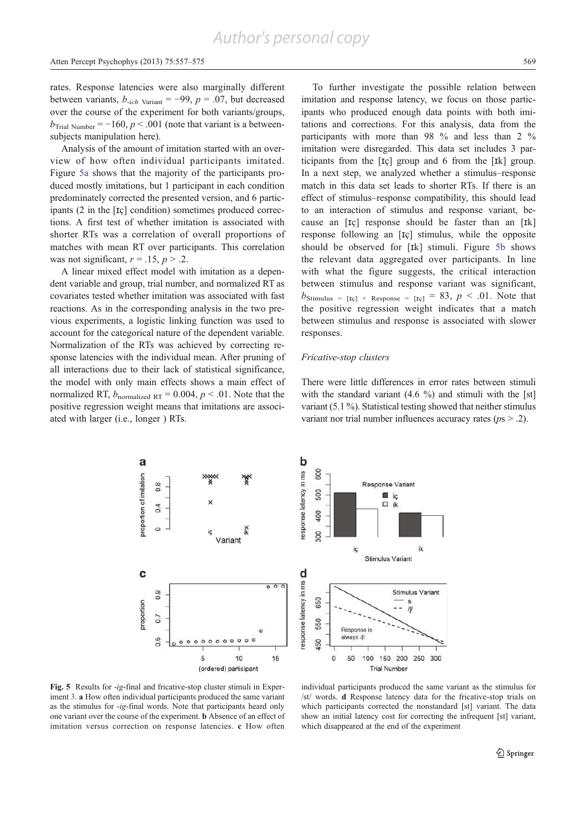rates. Response latencies were also marginally different between variants,  $b_{-ich}$  <sub>Variant</sub> = -99,  $p = .07$ , but decreased over the course of the experiment for both variants/groups,  $b_{\text{Trial Number}} = -160, p < .001$  (note that variant is a betweensubjects manipulation here).

Analysis of the amount of imitation started with an overview of how often individual participants imitated. Figure 5a shows that the majority of the participants produced mostly imitations, but 1 participant in each condition predominately corrected the presented version, and 6 participants (2 in the [ɪç] condition) sometimes produced corrections. A first test of whether imitation is associated with shorter RTs was a correlation of overall proportions of matches with mean RT over participants. This correlation was not significant,  $r = .15$ ,  $p > .2$ .

A linear mixed effect model with imitation as a dependent variable and group, trial number, and normalized RT as covariates tested whether imitation was associated with fast reactions. As in the corresponding analysis in the two previous experiments, a logistic linking function was used to account for the categorical nature of the dependent variable. Normalization of the RTs was achieved by correcting response latencies with the individual mean. After pruning of all interactions due to their lack of statistical significance, the model with only main effects shows a main effect of normalized RT,  $b_{normalized RT} = 0.004$ ,  $p < 0.01$ . Note that the positive regression weight means that imitations are associated with larger (i.e., longer ) RTs.

To further investigate the possible relation between imitation and response latency, we focus on those participants who produced enough data points with both imitations and corrections. For this analysis, data from the participants with more than 98 % and less than 2 % imitation were disregarded. This data set includes 3 participants from the [ɪç] group and 6 from the [ɪk] group. In a next step, we analyzed whether a stimulus–response match in this data set leads to shorter RTs. If there is an effect of stimulus–response compatibility, this should lead to an interaction of stimulus and response variant, because an [ɪç] response should be faster than an [ɪk] response following an [ɪç] stimulus, while the opposite should be observed for [ɪk] stimuli. Figure 5b shows the relevant data aggregated over participants. In line with what the figure suggests, the critical interaction between stimulus and response variant was significant,  $b_{\text{Stimulus}} = [I_{\text{c}}] \times \text{Response} = [I_{\text{c}}] = 83, p < .01.$  Note that the positive regression weight indicates that a match between stimulus and response is associated with slower responses.

#### Fricative-stop clusters

There were little differences in error rates between stimuli with the standard variant  $(4.6 \%)$  and stimuli with the [st] variant (5.1 %). Statistical testing showed that neither stimulus variant nor trial number influences accuracy rates ( $ps > .2$ ).



Fig. 5 Results for -ig-final and fricative-stop cluster stimuli in Experiment 3. a How often individual participants produced the same variant as the stimulus for -ig-final words. Note that participants heard only one variant over the course of the experiment. b Absence of an effect of imitation versus correction on response latencies. c How often

individual participants produced the same variant as the stimulus for /st/ words. d Response latency data for the fricative-stop trials on which participants corrected the nonstandard [st] variant. The data show an initial latency cost for correcting the infrequent [st] variant, which disappeared at the end of the experiment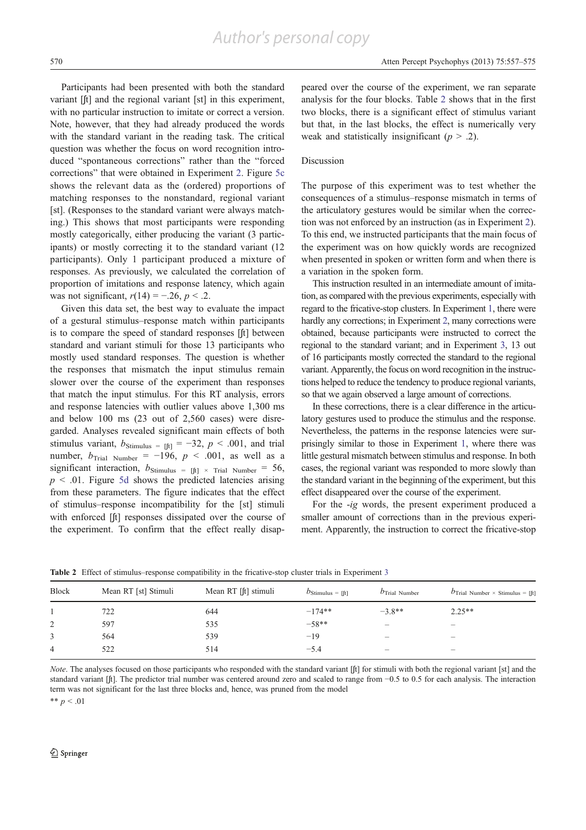Participants had been presented with both the standard variant [ʃt] and the regional variant [st] in this experiment, with no particular instruction to imitate or correct a version. Note, however, that they had already produced the words with the standard variant in the reading task. The critical question was whether the focus on word recognition introduced "spontaneous corrections" rather than the "forced corrections" that were obtained in Experiment 2. Figure 5c shows the relevant data as the (ordered) proportions of matching responses to the nonstandard, regional variant [st]. (Responses to the standard variant were always matching.) This shows that most participants were responding mostly categorically, either producing the variant (3 participants) or mostly correcting it to the standard variant (12 participants). Only 1 participant produced a mixture of responses. As previously, we calculated the correlation of proportion of imitations and response latency, which again was not significant,  $r(14) = -.26, p < .2$ .

Given this data set, the best way to evaluate the impact of a gestural stimulus–response match within participants is to compare the speed of standard responses [ʃt] between standard and variant stimuli for those 13 participants who mostly used standard responses. The question is whether the responses that mismatch the input stimulus remain slower over the course of the experiment than responses that match the input stimulus. For this RT analysis, errors and response latencies with outlier values above 1,300 ms and below 100 ms (23 out of 2,560 cases) were disregarded. Analyses revealed significant main effects of both stimulus variant,  $b_{Stimulus} = [ft] = -32$ ,  $p < .001$ , and trial number,  $b_{\text{Trial Number}} = -196$ ,  $p < .001$ , as well as a significant interaction,  $b_{Stimulus} = [ft] \times \text{Trial Number} = 56$ ,  $p \leq 0.01$ . Figure 5d shows the predicted latencies arising from these parameters. The figure indicates that the effect of stimulus–response incompatibility for the [st] stimuli with enforced [ft] responses dissipated over the course of the experiment. To confirm that the effect really disappeared over the course of the experiment, we ran separate analysis for the four blocks. Table 2 shows that in the first two blocks, there is a significant effect of stimulus variant but that, in the last blocks, the effect is numerically very weak and statistically insignificant  $(p > .2)$ .

### Discussion

The purpose of this experiment was to test whether the consequences of a stimulus–response mismatch in terms of the articulatory gestures would be similar when the correction was not enforced by an instruction (as in Experiment 2). To this end, we instructed participants that the main focus of the experiment was on how quickly words are recognized when presented in spoken or written form and when there is a variation in the spoken form.

This instruction resulted in an intermediate amount of imitation, as compared with the previous experiments, especially with regard to the fricative-stop clusters. In Experiment 1, there were hardly any corrections; in Experiment 2, many corrections were obtained, because participants were instructed to correct the regional to the standard variant; and in Experiment 3, 13 out of 16 participants mostly corrected the standard to the regional variant. Apparently, the focus on word recognition in the instructions helped to reduce the tendency to produce regional variants, so that we again observed a large amount of corrections.

In these corrections, there is a clear difference in the articulatory gestures used to produce the stimulus and the response. Nevertheless, the patterns in the response latencies were surprisingly similar to those in Experiment 1, where there was little gestural mismatch between stimulus and response. In both cases, the regional variant was responded to more slowly than the standard variant in the beginning of the experiment, but this effect disappeared over the course of the experiment.

For the -ig words, the present experiment produced a smaller amount of corrections than in the previous experiment. Apparently, the instruction to correct the fricative-stop

Table 2 Effect of stimulus–response compatibility in the fricative-stop cluster trials in Experiment 3

| <b>Block</b> | Mean RT [st] Stimuli | Mean RT [ft] stimuli | $b_{Stimulus} = [ft]$ | $b$ Trial Number | $b$ Trial Number × Stimulus = [ft] |
|--------------|----------------------|----------------------|-----------------------|------------------|------------------------------------|
|              | 722                  | 644                  | $-174**$              | $-3.8**$         | $2.25**$                           |
| 2            | 597                  | 535                  | $-58**$               | —                |                                    |
| 3            | 564                  | 539                  | $-19$                 | —                | —                                  |
| 4            | 522                  | 514                  | $-5.4$                | —                | —                                  |
|              |                      |                      |                       |                  |                                    |

Note. The analyses focused on those participants who responded with the standard variant [ft] for stimuli with both the regional variant [st] and the standard variant [ʃt]. The predictor trial number was centered around zero and scaled to range from −0.5 to 0.5 for each analysis. The interaction term was not significant for the last three blocks and, hence, was pruned from the model

\*\*  $p < .01$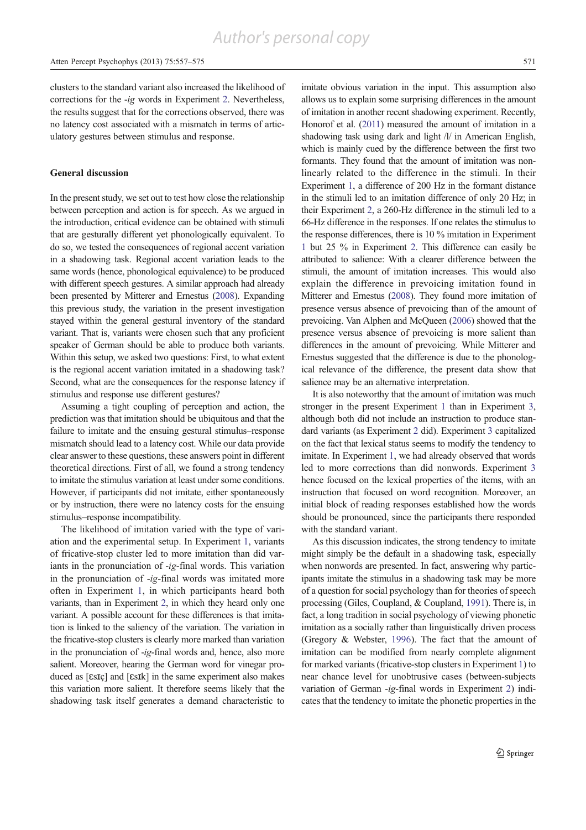clusters to the standard variant also increased the likelihood of corrections for the -ig words in Experiment 2. Nevertheless, the results suggest that for the corrections observed, there was no latency cost associated with a mismatch in terms of articulatory gestures between stimulus and response.

#### General discussion

In the present study, we set out to test how close the relationship between perception and action is for speech. As we argued in the introduction, critical evidence can be obtained with stimuli that are gesturally different yet phonologically equivalent. To do so, we tested the consequences of regional accent variation in a shadowing task. Regional accent variation leads to the same words (hence, phonological equivalence) to be produced with different speech gestures. A similar approach had already been presented by Mitterer and Ernestus (2008). Expanding this previous study, the variation in the present investigation stayed within the general gestural inventory of the standard variant. That is, variants were chosen such that any proficient speaker of German should be able to produce both variants. Within this setup, we asked two questions: First, to what extent is the regional accent variation imitated in a shadowing task? Second, what are the consequences for the response latency if stimulus and response use different gestures?

Assuming a tight coupling of perception and action, the prediction was that imitation should be ubiquitous and that the failure to imitate and the ensuing gestural stimulus–response mismatch should lead to a latency cost. While our data provide clear answer to these questions, these answers point in different theoretical directions. First of all, we found a strong tendency to imitate the stimulus variation at least under some conditions. However, if participants did not imitate, either spontaneously or by instruction, there were no latency costs for the ensuing stimulus–response incompatibility.

The likelihood of imitation varied with the type of variation and the experimental setup. In Experiment 1, variants of fricative-stop cluster led to more imitation than did variants in the pronunciation of -ig-final words. This variation in the pronunciation of -ig-final words was imitated more often in Experiment 1, in which participants heard both variants, than in Experiment 2, in which they heard only one variant. A possible account for these differences is that imitation is linked to the saliency of the variation. The variation in the fricative-stop clusters is clearly more marked than variation in the pronunciation of -ig-final words and, hence, also more salient. Moreover, hearing the German word for vinegar produced as [ɛsɪç] and [ɛsɪk] in the same experiment also makes this variation more salient. It therefore seems likely that the shadowing task itself generates a demand characteristic to imitate obvious variation in the input. This assumption also allows us to explain some surprising differences in the amount of imitation in another recent shadowing experiment. Recently, Honorof et al. (2011) measured the amount of imitation in a shadowing task using dark and light /l/ in American English, which is mainly cued by the difference between the first two formants. They found that the amount of imitation was nonlinearly related to the difference in the stimuli. In their Experiment 1, a difference of 200 Hz in the formant distance in the stimuli led to an imitation difference of only 20 Hz; in their Experiment 2, a 260-Hz difference in the stimuli led to a 66-Hz difference in the responses. If one relates the stimulus to the response differences, there is 10 % imitation in Experiment 1 but 25 % in Experiment 2. This difference can easily be attributed to salience: With a clearer difference between the stimuli, the amount of imitation increases. This would also explain the difference in prevoicing imitation found in Mitterer and Ernestus (2008). They found more imitation of presence versus absence of prevoicing than of the amount of prevoicing. Van Alphen and McQueen (2006) showed that the presence versus absence of prevoicing is more salient than differences in the amount of prevoicing. While Mitterer and Ernestus suggested that the difference is due to the phonological relevance of the difference, the present data show that salience may be an alternative interpretation.

It is also noteworthy that the amount of imitation was much stronger in the present Experiment 1 than in Experiment 3, although both did not include an instruction to produce standard variants (as Experiment 2 did). Experiment 3 capitalized on the fact that lexical status seems to modify the tendency to imitate. In Experiment 1, we had already observed that words led to more corrections than did nonwords. Experiment 3 hence focused on the lexical properties of the items, with an instruction that focused on word recognition. Moreover, an initial block of reading responses established how the words should be pronounced, since the participants there responded with the standard variant.

As this discussion indicates, the strong tendency to imitate might simply be the default in a shadowing task, especially when nonwords are presented. In fact, answering why participants imitate the stimulus in a shadowing task may be more of a question for social psychology than for theories of speech processing (Giles, Coupland, & Coupland, 1991). There is, in fact, a long tradition in social psychology of viewing phonetic imitation as a socially rather than linguistically driven process (Gregory & Webster, 1996). The fact that the amount of imitation can be modified from nearly complete alignment for marked variants (fricative-stop clusters in Experiment 1) to near chance level for unobtrusive cases (between-subjects variation of German -ig-final words in Experiment 2) indicates that the tendency to imitate the phonetic properties in the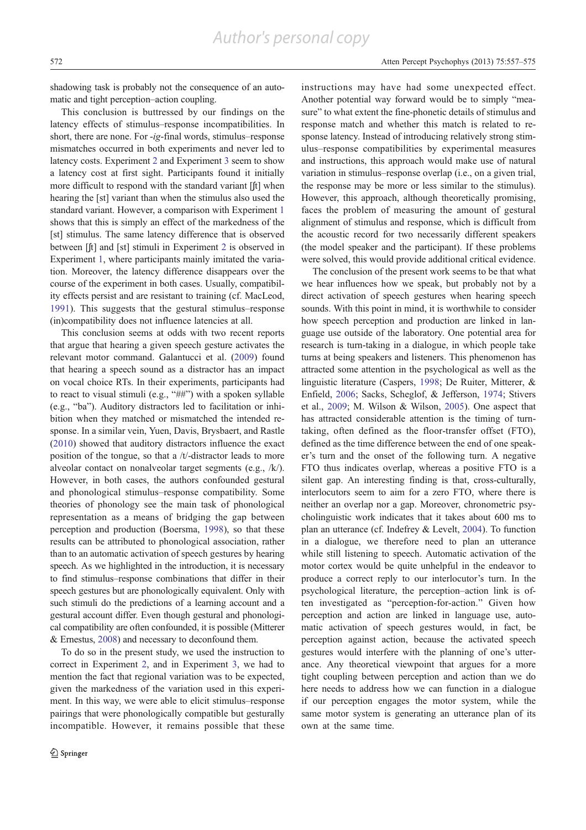shadowing task is probably not the consequence of an automatic and tight perception–action coupling.

This conclusion is buttressed by our findings on the latency effects of stimulus–response incompatibilities. In short, there are none. For -ig-final words, stimulus–response mismatches occurred in both experiments and never led to latency costs. Experiment 2 and Experiment 3 seem to show a latency cost at first sight. Participants found it initially more difficult to respond with the standard variant [ʃt] when hearing the [st] variant than when the stimulus also used the standard variant. However, a comparison with Experiment 1 shows that this is simply an effect of the markedness of the [st] stimulus. The same latency difference that is observed between [ʃt] and [st] stimuli in Experiment 2 is observed in Experiment 1, where participants mainly imitated the variation. Moreover, the latency difference disappears over the course of the experiment in both cases. Usually, compatibility effects persist and are resistant to training (cf. MacLeod, 1991). This suggests that the gestural stimulus–response (in)compatibility does not influence latencies at all.

This conclusion seems at odds with two recent reports that argue that hearing a given speech gesture activates the relevant motor command. Galantucci et al. (2009) found that hearing a speech sound as a distractor has an impact on vocal choice RTs. In their experiments, participants had to react to visual stimuli (e.g., "##") with a spoken syllable (e.g., "ba"). Auditory distractors led to facilitation or inhibition when they matched or mismatched the intended response. In a similar vein, Yuen, Davis, Brysbaert, and Rastle (2010) showed that auditory distractors influence the exact position of the tongue, so that a /t/-distractor leads to more alveolar contact on nonalveolar target segments (e.g., /k/). However, in both cases, the authors confounded gestural and phonological stimulus–response compatibility. Some theories of phonology see the main task of phonological representation as a means of bridging the gap between perception and production (Boersma, 1998), so that these results can be attributed to phonological association, rather than to an automatic activation of speech gestures by hearing speech. As we highlighted in the introduction, it is necessary to find stimulus–response combinations that differ in their speech gestures but are phonologically equivalent. Only with such stimuli do the predictions of a learning account and a gestural account differ. Even though gestural and phonological compatibility are often confounded, it is possible (Mitterer & Ernestus, 2008) and necessary to deconfound them.

To do so in the present study, we used the instruction to correct in Experiment 2, and in Experiment 3, we had to mention the fact that regional variation was to be expected, given the markedness of the variation used in this experiment. In this way, we were able to elicit stimulus–response pairings that were phonologically compatible but gesturally incompatible. However, it remains possible that these instructions may have had some unexpected effect. Another potential way forward would be to simply "measure" to what extent the fine-phonetic details of stimulus and response match and whether this match is related to response latency. Instead of introducing relatively strong stimulus–response compatibilities by experimental measures and instructions, this approach would make use of natural variation in stimulus–response overlap (i.e., on a given trial, the response may be more or less similar to the stimulus). However, this approach, although theoretically promising, faces the problem of measuring the amount of gestural alignment of stimulus and response, which is difficult from the acoustic record for two necessarily different speakers (the model speaker and the participant). If these problems were solved, this would provide additional critical evidence.

The conclusion of the present work seems to be that what we hear influences how we speak, but probably not by a direct activation of speech gestures when hearing speech sounds. With this point in mind, it is worthwhile to consider how speech perception and production are linked in language use outside of the laboratory. One potential area for research is turn-taking in a dialogue, in which people take turns at being speakers and listeners. This phenomenon has attracted some attention in the psychological as well as the linguistic literature (Caspers, 1998; De Ruiter, Mitterer, & Enfield, 2006; Sacks, Scheglof, & Jefferson, 1974; Stivers et al., 2009; M. Wilson & Wilson, 2005). One aspect that has attracted considerable attention is the timing of turntaking, often defined as the floor-transfer offset (FTO), defined as the time difference between the end of one speaker's turn and the onset of the following turn. A negative FTO thus indicates overlap, whereas a positive FTO is a silent gap. An interesting finding is that, cross-culturally, interlocutors seem to aim for a zero FTO, where there is neither an overlap nor a gap. Moreover, chronometric psycholinguistic work indicates that it takes about 600 ms to plan an utterance (cf. Indefrey & Levelt, 2004). To function in a dialogue, we therefore need to plan an utterance while still listening to speech. Automatic activation of the motor cortex would be quite unhelpful in the endeavor to produce a correct reply to our interlocutor's turn. In the psychological literature, the perception–action link is often investigated as "perception-for-action." Given how perception and action are linked in language use, automatic activation of speech gestures would, in fact, be perception against action, because the activated speech gestures would interfere with the planning of one's utterance. Any theoretical viewpoint that argues for a more tight coupling between perception and action than we do here needs to address how we can function in a dialogue if our perception engages the motor system, while the same motor system is generating an utterance plan of its own at the same time.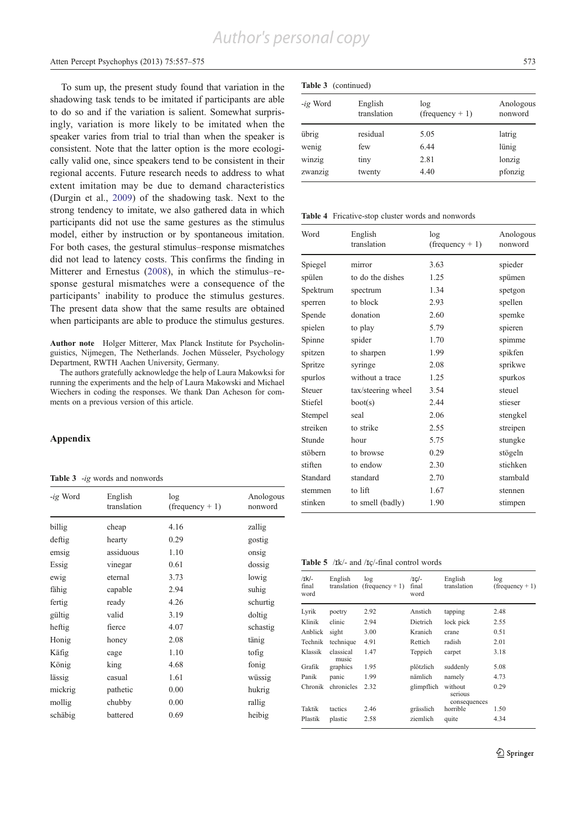# Atten Percept Psychophys (2013) 75:557–575 573

To sum up, the present study found that variation in the shadowing task tends to be imitated if participants are able to do so and if the variation is salient. Somewhat surprisingly, variation is more likely to be imitated when the speaker varies from trial to trial than when the speaker is consistent. Note that the latter option is the more ecologically valid one, since speakers tend to be consistent in their regional accents. Future research needs to address to what extent imitation may be due to demand characteristics (Durgin et al., 2009) of the shadowing task. Next to the strong tendency to imitate, we also gathered data in which participants did not use the same gestures as the stimulus model, either by instruction or by spontaneous imitation. For both cases, the gestural stimulus–response mismatches did not lead to latency costs. This confirms the finding in Mitterer and Ernestus (2008), in which the stimulus–response gestural mismatches were a consequence of the participants' inability to produce the stimulus gestures. The present data show that the same results are obtained when participants are able to produce the stimulus gestures.

Author note Holger Mitterer, Max Planck Institute for Psycholinguistics, Nijmegen, The Netherlands. Jochen Müsseler, Psychology Department, RWTH Aachen University, Germany.

The authors gratefully acknowledge the help of Laura Makowksi for running the experiments and the help of Laura Makowski and Michael Wiechers in coding the responses. We thank Dan Acheson for comments on a previous version of this article.

# Appendix

|  |  |  |  | <b>Table 3</b> -ig words and nonwords |
|--|--|--|--|---------------------------------------|
|--|--|--|--|---------------------------------------|

| -ig Word | English<br>translation | log<br>$(frequency + 1)$ | Anologous<br>nonword |
|----------|------------------------|--------------------------|----------------------|
| billig   | cheap                  | 4.16                     | zallig               |
| deftig   | hearty                 | 0.29                     | gostig               |
| emsig    | assiduous              | 1.10                     | onsig                |
| Essig    | vinegar                | 0.61                     | dossig               |
| ewig     | eternal                | 3.73                     | lowig                |
| fähig    | capable                | 2.94                     | suhig                |
| fertig   | ready                  | 4.26                     | schurtig             |
| gültig   | valid                  | 3.19                     | doltig               |
| heftig   | fierce                 | 4.07                     | schastig             |
| Honig    | honey                  | 2.08                     | tänig                |
| Käfig    | cage                   | 1.10                     | tofig                |
| König    | king                   | 4.68                     | fonig                |
| lässig   | casual                 | 1.61                     | wüssig               |
| mickrig  | pathetic               | 0.00                     | hukrig               |
| mollig   | chubby                 | 0.00                     | rallig               |
| schäbig  | battered               | 0.69                     | heibig               |

#### Table 3 (continued)

| <i>-ig</i> Word | English<br>translation | log<br>$(frequency + 1)$ | Anologous<br>nonword |
|-----------------|------------------------|--------------------------|----------------------|
| übrig           | residual               | 5.05                     | latrig               |
| wenig           | few                    | 6.44                     | lünig                |
| winzig          | tiny                   | 2.81                     | lonzig               |
| zwanzig         | twenty                 | 4.40                     | pfonzig              |

Table 4 Fricative-stop cluster words and nonwords

| Word     | English<br>translation | log<br>$(frequency + 1)$ | Anologous<br>nonword |
|----------|------------------------|--------------------------|----------------------|
| Spiegel  | mirror                 | 3.63                     | spieder              |
| spülen   | to do the dishes       | 1.25                     | spümen               |
| Spektrum | spectrum               | 1.34                     | spetgon              |
| sperren  | to block               | 2.93                     | spellen              |
| Spende   | donation               | 2.60                     | spemke               |
| spielen  | to play                | 5.79                     | spieren              |
| Spinne   | spider                 | 1.70                     | spimme               |
| spitzen  | to sharpen             | 1.99                     | spikfen              |
| Spritze  | syringe                | 2.08                     | sprikwe              |
| spurlos  | without a trace        | 1.25                     | spurkos              |
| Steuer   | tax/steering wheel     | 3.54                     | steuel               |
| Stiefel  | boot(s)                | 2.44                     | stieser              |
| Stempel  | seal                   | 2.06                     | stengkel             |
| streiken | to strike              | 2.55                     | streipen             |
| Stunde   | hour                   | 5.75                     | stungke              |
| stöbern  | to browse              | 0.29                     | stögeln              |
| stiften  | to endow               | 2.30                     | stichken             |
| Standard | standard               | 2.70                     | stambald             |
| stemmen  | to lift                | 1.67                     | stennen              |
| stinken  | to smell (badly)       | 1.90                     | stimpen              |
|          |                        |                          |                      |

**Table 5** / $Ik/-$  and / $Ic/-$  final control words

| $I$ k/-<br>final<br>word | English            | log<br>translation (frequency $+1$ ) | $\text{IC}/\text{-}$<br>final<br>word | English<br>translation             | log<br>$(frequency + 1)$ |
|--------------------------|--------------------|--------------------------------------|---------------------------------------|------------------------------------|--------------------------|
| Lyrik                    | poetry             | 2.92                                 | Anstich                               | tapping                            | 2.48                     |
| Klinik                   | clinic             | 2.94                                 | Dietrich                              | lock pick                          | 2.55                     |
| Anblick                  | sight              | 3.00                                 | Kranich                               | crane                              | 0.51                     |
| Technik                  | technique          | 4.91                                 | Rettich                               | radish                             | 2.01                     |
| Klassik                  | classical<br>music | 1.47                                 | Teppich                               | carpet                             | 3.18                     |
| Grafik                   | graphics           | 1.95                                 | plötzlich                             | suddenly                           | 5.08                     |
| Panik                    | panic              | 1.99                                 | nämlich                               | namely                             | 4.73                     |
| Chronik                  | chronicles         | 2.32                                 | glimpflich                            | without<br>serious<br>consequences | 0.29                     |
| Taktik                   | tactics            | 2.46                                 | grässlich                             | horrible                           | 1.50                     |
| Plastik                  | plastic            | 2.58                                 | ziemlich                              | quite                              | 4.34                     |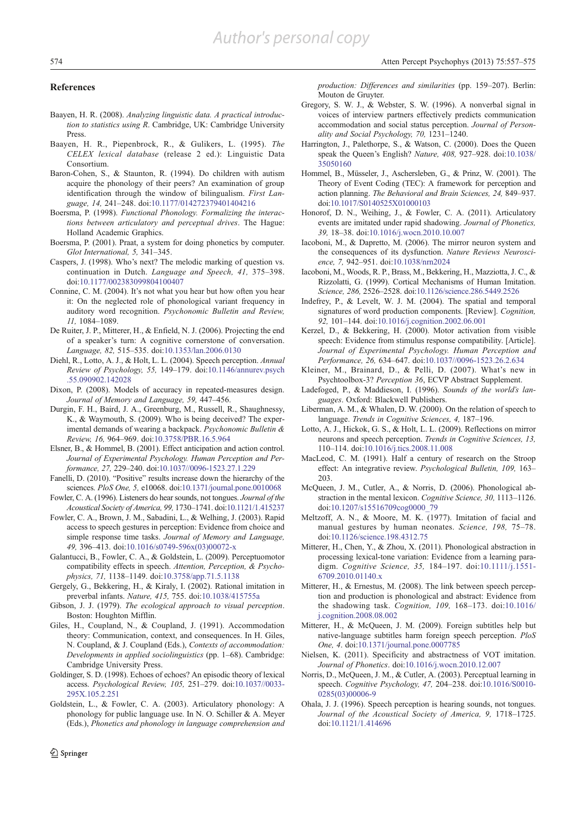### References

- Baayen, H. R. (2008). Analyzing linguistic data. A practical introduction to statistics using R. Cambridge, UK: Cambridge University Press.
- Baayen, H. R., Piepenbrock, R., & Gulikers, L. (1995). The CELEX lexical database (release 2 ed.): Linguistic Data Consortium.
- Baron-Cohen, S., & Staunton, R. (1994). Do children with autism acquire the phonology of their peers? An examination of group identification through the window of bilingualism. First Language, 14, 241–248. doi:10.1177/014272379401404216
- Boersma, P. (1998). Functional Phonology. Formalizing the interactions between articulatory and perceptual drives. The Hague: Holland Academic Graphics.
- Boersma, P. (2001). Praat, a system for doing phonetics by computer. Glot International, 5, 341–345.
- Caspers, J. (1998). Who's next? The melodic marking of question vs. continuation in Dutch. Language and Speech, 41, 375–398. doi:10.1177/002383099804100407
- Connine, C. M. (2004). It's not what you hear but how often you hear it: On the neglected role of phonological variant frequency in auditory word recognition. Psychonomic Bulletin and Review, 11, 1084–1089.
- De Ruiter, J. P., Mitterer, H., & Enfield, N. J. (2006). Projecting the end of a speaker's turn: A cognitive cornerstone of conversation. Language, 82, 515–535. doi:10.1353/lan.2006.0130
- Diehl, R., Lotto, A. J., & Holt, L. L. (2004). Speech perception. Annual Review of Psychology, 55, 149–179. doi:10.1146/annurev.psych .55.090902.142028
- Dixon, P. (2008). Models of accuracy in repeated-measures design. Journal of Memory and Language, 59, 447–456.
- Durgin, F. H., Baird, J. A., Greenburg, M., Russell, R., Shaughnessy, K., & Waymouth, S. (2009). Who is being deceived? The experimental demands of wearing a backpack. Psychonomic Bulletin & Review, 16, 964–969. doi:10.3758/PBR.16.5.964
- Elsner, B., & Hommel, B. (2001). Effect anticipation and action control. Journal of Experimental Psychology. Human Perception and Performance, 27, 229–240. doi:10.1037//0096-1523.27.1.229
- Fanelli, D. (2010). "Positive" results increase down the hierarchy of the sciences. PloS One, 5, e10068. doi:10.1371/journal.pone.0010068
- Fowler, C. A. (1996). Listeners do hear sounds, not tongues. Journal of the Acoustical Society of America, 99, 1730–1741. doi:10.1121/1.415237
- Fowler, C. A., Brown, J. M., Sabadini, L., & Welhing, J. (2003). Rapid access to speech gestures in perception: Evidence from choice and simple response time tasks. Journal of Memory and Language, 49, 396–413. doi:10.1016/s0749-596x(03)00072-x
- Galantucci, B., Fowler, C. A., & Goldstein, L. (2009). Perceptuomotor compatibility effects in speech. Attention, Perception, & Psychophysics, 71, 1138–1149. doi:10.3758/app.71.5.1138
- Gergely, G., Bekkering, H., & Kiraly, I. (2002). Rational imitation in preverbal infants. Nature, 415, 755. doi:10.1038/415755a
- Gibson, J. J. (1979). The ecological approach to visual perception. Boston: Houghton Mifflin.
- Giles, H., Coupland, N., & Coupland, J. (1991). Accommodation theory: Communication, context, and consequences. In H. Giles, N. Coupland, & J. Coupland (Eds.), Contexts of accommodation: Developments in applied sociolinguistics (pp. 1–68). Cambridge: Cambridge University Press.
- Goldinger, S. D. (1998). Echoes of echoes? An episodic theory of lexical access. Psychological Review, 105, 251–279. doi:10.1037//0033- 295X.105.2.251
- Goldstein, L., & Fowler, C. A. (2003). Articulatory phonology: A phonology for public language use. In N. O. Schiller & A. Meyer (Eds.), Phonetics and phonology in language comprehension and

production: Differences and similarities (pp. 159–207). Berlin: Mouton de Gruyter.

- Gregory, S. W. J., & Webster, S. W. (1996). A nonverbal signal in voices of interview partners effectively predicts communication accommodation and social status perception. Journal of Personality and Social Psychology, 70, 1231–1240.
- Harrington, J., Palethorpe, S., & Watson, C. (2000). Does the Queen speak the Queen's English? Nature, 408, 927–928. doi:10.1038/ 35050160
- Hommel, B., Müsseler, J., Aschersleben, G., & Prinz, W. (2001). The Theory of Event Coding (TEC): A framework for perception and action planning. The Behavioral and Brain Sciences, 24, 849–937. doi:10.1017/S0140525X01000103
- Honorof, D. N., Weihing, J., & Fowler, C. A. (2011). Articulatory events are imitated under rapid shadowing. Journal of Phonetics, 39, 18–38. doi:10.1016/j.wocn.2010.10.007
- Iacoboni, M., & Dapretto, M. (2006). The mirror neuron system and the consequences of its dysfunction. Nature Reviews Neuroscience, 7, 942–951. doi:10.1038/nrn2024
- Iacoboni, M., Woods, R. P., Brass, M., Bekkering, H., Mazziotta, J. C., & Rizzolatti, G. (1999). Cortical Mechanisms of Human Imitation. Science, 286, 2526–2528. doi:10.1126/science.286.5449.2526
- Indefrey, P., & Levelt, W. J. M. (2004). The spatial and temporal signatures of word production components. [Review]. Cognition, 92, 101–144. doi:10.1016/j.cognition.2002.06.001
- Kerzel, D., & Bekkering, H. (2000). Motor activation from visible speech: Evidence from stimulus response compatibility. [Article]. Journal of Experimental Psychology. Human Perception and Performance, 26, 634–647. doi:10.1037//0096-1523.26.2.634
- Kleiner, M., Brainard, D., & Pelli, D. (2007). What's new in Psychtoolbox-3? Perception 36, ECVP Abstract Supplement.
- Ladefoged, P., & Maddieson, I. (1996). Sounds of the world's languages. Oxford: Blackwell Publishers.
- Liberman, A. M., & Whalen, D. W. (2000). On the relation of speech to language. Trends in Cognitive Sciences, 4, 187–196.
- Lotto, A. J., Hickok, G. S., & Holt, L. L. (2009). Reflections on mirror neurons and speech perception. Trends in Cognitive Sciences, 13, 110–114. doi:10.1016/j.tics.2008.11.008
- MacLeod, C. M. (1991). Half a century of research on the Stroop effect: An integrative review. Psychological Bulletin, 109, 163– 203.
- McQueen, J. M., Cutler, A., & Norris, D. (2006). Phonological abstraction in the mental lexicon. Cognitive Science, 30, 1113–1126. doi:10.1207/s15516709cog0000\_79
- Meltzoff, A. N., & Moore, M. K. (1977). Imitation of facial and manual gestures by human neonates. Science, 198, 75–78. doi:10.1126/science.198.4312.75
- Mitterer, H., Chen, Y., & Zhou, X. (2011). Phonological abstraction in processing lexical-tone variation: Evidence from a learning paradigm. Cognitive Science, 35, 184–197. doi:10.1111/j.1551- 6709.2010.01140.x
- Mitterer, H., & Ernestus, M. (2008). The link between speech perception and production is phonological and abstract: Evidence from the shadowing task. Cognition, 109, 168–173. doi:10.1016/ j.cognition.2008.08.002
- Mitterer, H., & McQueen, J. M. (2009). Foreign subtitles help but native-language subtitles harm foreign speech perception. PloS One, 4. doi:10.1371/journal.pone.0007785
- Nielsen, K. (2011). Specificity and abstractness of VOT imitation. Journal of Phonetics. doi:10.1016/j.wocn.2010.12.007
- Norris, D., McQueen, J. M., & Cutler, A. (2003). Perceptual learning in speech. Cognitive Psychology, 47, 204–238. doi:10.1016/S0010- 0285(03)00006-9
- Ohala, J. J. (1996). Speech perception is hearing sounds, not tongues. Journal of the Acoustical Society of America, 9, 1718–1725. doi:10.1121/1.414696